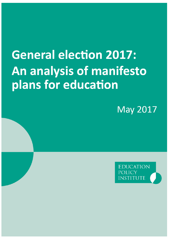# **General election 2017:** An analysis of manifesto plans for education

**May 2017** 

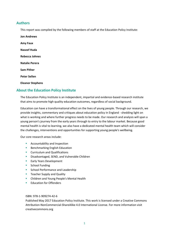# **Authors**

This report was compiled by the following members of staff at the Education Policy Institute:

**Jon Andrews Amy Faux Naseef Huda Rebecca Johnes Natalie Perera Sam Pither Peter Sellen Eleanor Stephens**

# **About the Education Policy Institute**

The Education Policy Institute is an independent, impartial and evidence-based research institute that aims to promote high quality education outcomes, regardless of social background.

Education can have a transformational effect on the lives of young people. Through our research, we provide insights, commentary and critiques about education policy in England - shedding light on what is working and where further progress needs to be made. Our research and analysis will span a young person's journey from the early years through to entry to the labour market. Because good mental health is vital to learning, we also have a dedicated mental health team which will consider the challenges, interventions and opportunities for supporting young people's wellbeing.

Our core research areas include:

- **Accountability and Inspection**
- **Benchmarking English Education**
- **Curriculum and Qualifications**
- **Disadvantaged, SEND, and Vulnerable Children**
- **Early Years Development**
- **School Funding**
- **School Performance and Leadership**
- **Teacher Supply and Quality**
- **E** Children and Young People's Mental Health
- **Education for Offenders**

#### ISBN: 978-1-909274-42-6

Published May 2017 Education Policy Institute. This work is licensed under a Creative Commons Attribution-NonCommercial-ShareAlike 4.0 International License. For more information visit creativecommons.org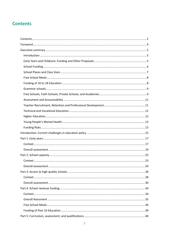# <span id="page-2-0"></span>**Contents**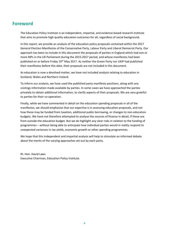# <span id="page-4-0"></span>**Foreword**

The Education Policy Institute is an independent, impartial, and evidence-based research institute that aims to promote high quality education outcomes for all, regardless of social background.

In this report, we provide an analysis of the education policy proposals contained within the 2017 General Election Manifestos of the Conservative Party, Labour Party and Liberal Democrat Party. Our approach has been to include in this document the proposals of parties in England which had one or more MPs in the UK Parliament during the 2015-2017 period, and whose manifestos had been published on or before Friday 19th May 2017. As neither the Green Party nor UKIP had published their manifestos before this date, their proposals are not included in this document.

As education is now a devolved matter, we have not included analysis relating to education in Scotland, Wales and Northern Ireland.

To inform our analysis, we have used the published party manifesto positions, along with any costings information made available by parties. In some cases we have approached the parties privately to obtain additional information, to clarify aspects of their proposals. We are very grateful to parties for their co-operation.

Finally, while we have commented in detail on the education spending proposals in all of the manifestos, we should emphasise that our expertise is in assessing education proposals, and not how these may be funded from taxation, additional public borrowing, or changes to non-education budgets. We have not therefore attempted to analyse the sources of finance in detail, if these are from outside the education budget. But we do highlight any clear risks in relation to the funding of programmes – without being able to anticipate how individual parties would in reality respond to unexpected variances in tax yields, economic growth or other spending programmes.

We hope that this independent and impartial analysis will help to stimulate an informed debate about the merits of the varying approaches set out by each party.

Rt. Hon. David Laws Executive Chairman, Education Policy Institute.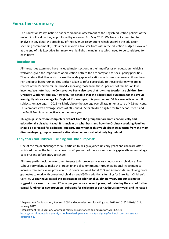# <span id="page-5-0"></span>**Executive summary**

The Education Policy Institute has carried out an assessment of the English education policies of the main UK political parties, as published by noon on 19th May 2017. We have not attempted to analyse in any detail the credibility of the revenue assumptions which underlie the education spending commitments, unless these involve a transfer from within the education budget. However, at the end of this Executive Summary, we highlight the main risks which need to be considered for each party.

# <span id="page-5-1"></span>**Introduction**

1

All the parties examined have included major sections in their manifestos on education - which is welcome, given the importance of education both to the economy and to social policy priorities. They all state that they wish to close the wide gap in educational outcomes between children from rich and poor backgrounds. This is often taken to refer particularly to those children who are in receipt of the Pupil Premium - broadly speaking those from the 25 per cent of families on low incomes. **We note that the Conservative Party also says that it wishes to prioritise children from Ordinary Working Families. However, it is notable that the educational outcomes for this group are slightly above average for England**. For example, this group scored 51.6 across Attainment 8 subjects, on average, in 2016 – slightly above the average overall attainment score of 49.9 per cent.<sup>1</sup> This compares with average scores of 38.9 and 43.5 for children eligible for free school meals and the Pupil Premium respectively, in the same year. $<sup>2</sup>$ </sup>

**This group is therefore completely distinct from the group that are both economically and educationally disadvantaged. It is unclear on what basis and how the Ordinary Working Families should be targeted for additional support, and whether this would draw away focus from the most disadvantaged group, whose educational outcomes most obviously lag behind.** 

# <span id="page-5-2"></span>**Early Years and Childcare: Funding and Other Proposals**

One of the major challenges for all parties is to design a joined up early years and childcare offer which addresses the fact that, currently, 40 per cent of the socio-economic gap in attainment at age 16 is present before entry to school.

All three parties include new commitments to improve early years education and childcare. The Labour Party plans to make the largest financial commitment, through additional investment to increase free early years provision to 30 hours per week for all 2, 3 and 4 year-olds, employing more graduates to work with pre-school children and £500m additional funding for Sure Start Children's Centres. **Labour have costed this package at an additional £5.3bn per year, but our estimates suggest it is closer to around £6.4bn per year above current plans, not including the cost of further capital funding for new providers, subsidies for childcare of over 30 hours per week and increased** 

<sup>1</sup> Department for Education, 'Revised GCSE and equivalent results in England, 2015 to 2016', SFR03/2017, January 2017

<sup>2</sup> Department for Education, 'Analysing family circumstances and education', April 2017: [https://consult.education.gov.uk/school-leadership-analysis-unit/analysing-family-circumstances-and](https://consult.education.gov.uk/school-leadership-analysis-unit/analysing-family-circumstances-and-education-1/)[education-1/](https://consult.education.gov.uk/school-leadership-analysis-unit/analysing-family-circumstances-and-education-1/)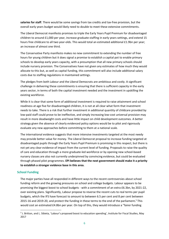**salaries for staff**. There would be some savings from tax credits and tax-free provision, but the overall early years budget would likely need to double to meet these extensive commitments.

The Liberal Democrat manifesto promises to triple the Early Years Pupil Premium for disadvantaged children to around £1,000 per year, increase graduate staffing in early years settings, and extend 15 hours free childcare to all two year-olds. This would total an estimated additional £1.9bn per year; an increase of almost one third.

The Conservative Party manifesto makes no new commitment to extending the number of free hours for young children but it does signal a promise to establish a capital pot to enable primary schools to develop early years capacity, with a presumption that all new primary schools should include nursery provision. The Conservatives have not given any estimates of how much they would allocate to this but, as well as capital funding, this commitment will also include additional salary costs due to staffing regulations in maintained settings.

The pledges from both Labour and the Liberal Democrats are ambitious and costly. A significant challenge in delivering these commitments is ensuring that there is sufficient capacity in the early years sector, in terms of both the capital investment needed and the investment in upskilling the existing workforce.

While it is clear that some form of additional investment is required to raise attainment and school readiness at age five for disadvantaged children, it is not at all clear what form that investment needs to take. There is a risk that further investment in additional quantity of childcare provided by low-paid staff could prove to be ineffective, and simply increasing low-cost universal provision may result in more deadweight costs and have little impact on child development outcomes. A better strategy given the absence of clearly evidenced policy options would be to pilot and rigorously evaluate any new approaches before committing to them at a national scale.

The international evidence suggests that more intensive investments targeted at the most needy may provide better value for money. The Liberal Democrat proposal to increase funding targeted at disadvantaged pupils through the Early Years Pupil Premium is promising in this respect, but there is not yet any clear evidence of impact from the current level of funding. Proposals to raise the quality of care and education through a more graduate-led workforce or by opening new school-based nursery classes are also not currently underpinned by convincing evidence, but could be evaluated through phased pilot programmes. **EPI believes that the next government should make it a priority to establish a stronger evidence base in this area.**

#### <span id="page-6-0"></span>**School Funding**

**.** 

The major parties have all responded in different ways to the recent controversies about school funding reform and the growing pressures on school and college budgets. Labour appears to be promising the biggest boost to school budgets - with a commitment of an extra £6.3bn, by 2021-22, over existing plans. Significantly, Labour propose to reverse the recent cuts to real terms per pupil budgets, which the IFS have forecast to amount to between 6.5 per cent and 8 per cent between 2015-16 and 2019-20, and protect the funding in these terms to the end of the parliament**.** <sup>3</sup> This would cost an estimated £4.8bn per year. On top of this, they would introduce a "fairer funding

<sup>&</sup>lt;sup>3</sup> J. Britton, and L. Sibieta, 'Labour's proposed boost to education spending', Institute for Fiscal Studies, May 2017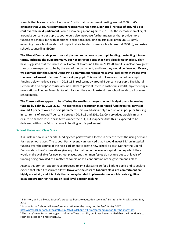formula that leaves no school worse off", with that commitment costing around £300m. **We estimate that Labour's commitment represents a real terms, per pupil increase of around 6 per cent over the next parliament**. When examining spending since 2015-16, the increase is smaller, at around 2 per cent per pupil. Labour would also introduce further measures that provide more funding to schools, but with additional obligations, including an arts pupil premium (£160m), extending free school meals to all pupils in state funded primary schools (around £900m), and extra schools counselling (£90m).**<sup>4</sup>**

**The Liberal Democrats plan to cancel planned reductions in per pupil funding, protecting it in real terms, including the pupil premium, but not to reverse cuts that have already taken place.** They have suggested that the increases will amount to around £1bn in 2019-20, but it is unclear how great the costs are expected to be by the end of the parliament, and how they would be financed. **Overall, we estimate that the Liberal Democrat's commitment represents a small real terms increase over the new parliament of around 1 per cent per pupil.** This would still leave estimated per-pupil funding below the levels seen in 2015-16 in real terms by around 4 per cent per pupil**.** The Liberal Democrats also propose to use around £300m to prevent losers in cash terms whilst implementing a new National Funding Formula. As with Labour, they would extend free school meals to all primary school pupils.

**The Conservatives appear to be offering the smallest change to school budget plans, increasing funding by £4bn by 2021-2022**. **This represents a reduction in per pupil funding in real terms of around 3 per cent over the next parliament.** This would also imply a reduction in per pupil funding in real terms of around 7 per cent between 2015-16 and 2021-22. Conservatives would similarly ensure no schools lose in cash terms under the NFF, but it appears that this is expected to be delivered within the £4bn increase in funding in this parliament.

# <span id="page-7-0"></span>**School Places and Class Sizes**

**.** 

It is unclear how much capital funding each party would allocate in order to meet the rising demand for new school places. The Labour Party recently announced that it would invest £8.4bn in capital funding over the course of the next parliament to create new school places.<sup>5</sup> Neither the Liberal Democrats or the Conservatives give any information on the level of capital funding which they would make available for new school places, but their manifestos do not rule out such levels of funding being provided as a matter of course or as a continuation of the government's plans.

Against this context, Labour have proposed to limit classes to 30 for all infant pupils and to seek to extend that later if resources allow.<sup>6</sup> **However, the costs of Labour's class size commitment are highly uncertain, and it is likely that a heavy-handed implementation would create significant costs and greater restrictions on local-level decision making.** 

<sup>5</sup> Labour Party, 'Labour will transform education for the many not the few', 9 May 2017: [http://press.labour.org.uk/post/160492246769/labour-will-transform-education-for-the-many-not.](http://press.labour.org.uk/post/160492246769/labour-will-transform-education-for-the-many-not)

<sup>4</sup> J. Britton, and L. Sibieta, 'Labour's proposed boost to education spending', Institute for Fiscal Studies, May 2017

 $6$  The party's manifesto text suggests a limit of 'less than 30', but it has been clarified that the intention is to restrict classes to no more than 30.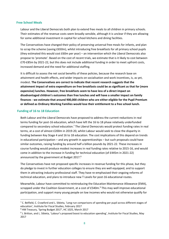## <span id="page-8-0"></span>**Free School Meals**

Labour and the Liberal Democrats both plan to extend free meals to all children in primary schools. Their estimates of the revenue costs seem broadly sensible, although it is unclear if they are allowing for some additional investment in capital for school kitchens and dining facilities.

The Conservatives have changed their policy of preserving universal free meals for infants, and plan to scrap the scheme (saving £650m), whilst introducing free breakfasts for all primary school pupils (they estimated this would cost £60m per year) – an intervention which the Liberal Democrats also propose to 'promote'. Based on the cost of recent trials, we estimate that is it likely to cost between £70-£85m by 2021-22, but this does not include additional funding in order to meet upfront costs, increased demand and the need for additional staffing.

It is difficult to assess the net social benefits of these policies, because the research base on attainment and health effects, and wider impacts on socialisation and work incentives, is, as yet, modest. **The Conservatives are correct to indicate that recent research suggests that the attainment impact of extra expenditure on free breakfasts could be as significant as that for (more expensive) lunches. However, free breakfasts seem to have less of a direct impact on disadvantaged children's outcomes than free lunches and will have a smaller impact on family finances - we estimate that around 900,000 children who are either eligible for the Pupil Premium or defined as Ordinary Working Families would lose their entitlement to a free school lunch.** 

## <span id="page-8-1"></span>**Funding of 16 to 18 Education**

**.** 

Both Labour and the Liberal Democrats have proposed to address the current reductions in real terms funding for post-16 education, which have left the 16 to 18 phase relatively underfunded compared to secondary school education.<sup>7</sup> The Liberal Democrats would protect funding rates in real terms, at a cost of almost £200m in 2019-20, whilst Labour would seek to close the disparity in funding between Key Stage 4 and 16 to 18 education. The cost implications of this depend on trends in educational participation – and any growth in apprenticeships – but such proposals could have similar outcomes, raising funding by around half a billion pounds by 2021-22. These increases in course funding would produce modest increases in real funding rates relative to 2015-16, and would come in addition to the increase in funding for technical education (of £445m in 2021-22) announced by the government at Budget 2017.<sup>8</sup>

The Conservatives have not proposed specific increases in revenue funding for this phase, but they do pledge to invest in further education colleges to ensure they are well equipped, and to support them in attracting industry professional staff. They have re-emphasised their ongoing reforms of technical education, and plans to introduce new T Levels for post-16 educational routes.

Meanwhile, Labour have committed to reintroducing the Education Maintenance Allowance (EMA), scrapped under the Coalition Government, at a cost of £540m.<sup>9</sup> This may well improve educational participation, and support many young people on low incomes who would not otherwise qualify for

<sup>&</sup>lt;sup>7</sup> C. Belfield, C. Crawford and L. Sibieta, 'Long-run comparisons of spending per pupil across different stages of education', Institute for Fiscal Studies, February 2017

<sup>8</sup> HM Treasury, 'Spring Budget 2017', HC 1025, March 2017

<sup>&</sup>lt;sup>9</sup> J. Britton, and L. Sibieta, 'Labour's proposed boost to education spending', Institute for Fiscal Studies, May 2017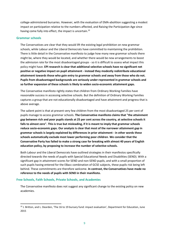college-administered bursaries. However, with the evaluation of EMA-abolition suggesting a modest impact on participation relative to the numbers affected, and Raising the Participation Age since having come fully into effect, the impact is uncertain.<sup>10</sup>

#### <span id="page-9-0"></span>**Grammar schools**

1

The Conservatives are clear that they would lift the existing legal prohibition on new grammar schools, while Labour and the Liberal Democrats have committed to maintaining the prohibition. There is little detail in the Conservative manifesto to judge how many new grammar schools there might be, where they would be located, and whether there would be new arrangements to boost the admission rate for the most disadvantaged groups - so it is difficult to assess what impact this policy might have. **EPI research is clear that additional selective schools have no significant net positive or negative impact on pupil attainment - instead they modestly redistribute educational attainment towards those who gain entry to grammar schools and away from those who do not. Pupils from disadvantaged backgrounds are seriously under-represented in grammar schools and so further expansion of these schools is likely to widen socio-economic attainment gaps.** 

The Conservative manifesto rightly states that children from Ordinary Working Families have reasonable success in accessing selective schools. But the definition of Ordinary Working Families captures a group that are not educationally disadvantaged and have attainment and progress that is above average.

The salient point is that at present very few children from the most disadvantaged 25 per cent of pupils manage to access grammar schools. **The Conservative manifesto claims that "the attainment gap between rich and poor pupils stands at 25 per cent across the country, at selective schools it falls to almost zero". This is true but misleading, if it is meant to imply that grammar schools reduce socio-economic gaps. Our analysis is clear that most of the narrower attainment gap in grammar schools is largely explained by differences in prior attainment - in other words these schools automatically exclude most lower performing poor children**. **We consider that the Conservative Party has failed to make a strong case for breaking with almost 40 years of English education policy, by proposing to increase the number of selective schools.**

Both Labour and the Liberal Democrats have outlined strategies in their manifestos specifically directed towards the needs of pupils with Special Educational Needs and Disabilities (SEND). With a significant gap in attainment scores for SEND and non-SEND pupils, and with a small proportion of such pupils having entered for the EBacc combination of GCSE subjects, these pupils risk being left behind. These commitments are therefore welcome. **In contrast, the Conservatives have made no reference to the needs of pupils with SEND in their manifesto.**

#### <span id="page-9-1"></span>**Free Schools, Faith Schools, Private Schools, and Academies**

The Conservative manifesto does not suggest any significant change to the existing policy on new academies.

 $10$  J. Britton, and L. Dearden, 'The 16 to 19 bursary fund: impact evaluation', Department for Education, June 2015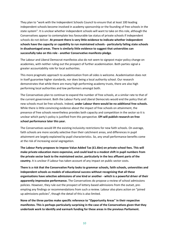They plan to "work with the Independent Schools Council to ensure that at least 100 leading independent schools become involved in academy sponsorship or the founding of free schools in the state system". It is unclear whether independent schools will want to take on this role, although the Conservatives appear to contemplate less favourable tax status of private schools if independent schools do not deliver. **At present there is very little evidence to indicate whether independent schools have the capacity or capability to run maintained schools - particularly failing state schools in disadvantaged areas. There is similarly little evidence to suggest that universities can successfully take on this role - another Conservative manifesto pledge**.

The Labour and Liberal Democrat manifestos also do not seem to signpost major policy change on academies, with neither ruling out the prospect of further academisation. Both parties signal a greater accountability role for local authorities.

This more pragmatic approach to academisation from all sides is welcome. Academisation does not in itself guarantee higher standards, nor does being a local authority school. Our research demonstrates that while there are many high performing academy trusts, there are also high performing local authorities and low performers amongst both.

The Conservatives plan to continue to expand the number of free schools, at a similar rate to that of the current government. Both the Labour Party and Liberal Democrats would end the policy that all new schools must be free schools. Indeed, **under Labour there would be no additional free schools.** While there is little convincing evidence about the impact of free schools on attainment, the presence of free schools nevertheless provides both capacity and competition in the sector so it is unclear which party's policy is justified from this perspective. **EPI will publish research on free school performance later this year.**

The Conservatives would lift the existing inclusivity restrictions for new faith schools. On average, faith schools are more socially selective than their catchment areas, and differences in pupil attainment are largely explained by pupil characteristics. So, any small performance benefits come at the risk of increasing social segregation.

**The Labour Party proposes to impose Value Added Tax (£1.6bn) on private school fees. This will make private education more expensive, and could lead to a modest shift in pupil numbers from the private sector back to the maintained sector, particularly in the less affluent parts of the country.** It is unclear if Labour has taken account of any impact on public sector costs.

**There is a risk that the Conservative Party looks to grammar schools, faith schools, universities and independent schools as models of educational success without recognising that all these organisations have selective admissions of one kind or another - which is a powerful driver of their apparently impressive performance.** The Conservatives do propose a review of school admissions policies. However, they rule out the prospect of lottery-based admissions from the outset, preempting any findings or recommendations from such a review. Labour also plans action on "joined up admissions policies", though the detail of this is also limited.

**None of the three parties make specific reference to "Opportunity Areas" in their respective manifestos. This is perhaps particularly surprising in the case of the Conservatives given that they undertook work to identify and earmark funding for these areas in the previous Parliament.**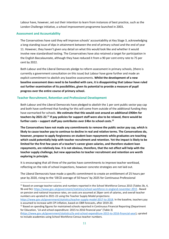Labour have, however, set out their intention to learn from instances of best practice, such as the London Challenge initiative, a school improvement programme launched in 2003**.**

### <span id="page-11-0"></span>**Assessment and Accountability**

**.** 

The Conservatives have said they will improve schools' accountability at Key Stage 3, acknowledging a long-standing issue of dips in attainment between the end of primary school and the end of year 11. However, they haven't given any detail on what this would look like and whether it would involve new standardised testing. The Conservatives have also retained a target for participation in the English Baccalaureate, although they have reduced it from a 90 per cent entry rate to 75 per cent by 2022.

Both Labour and the Liberal Democrats pledge to reform assessment in primary schools, (there is currently a government consultation on this issue) but Labour have gone further and made an explicit commitment to abolish any baseline assessments. **Whilst the development of a new baseline assessment does need to be handled with care, it is disappointing that Labour have ruled out further examination of its possibilities, given its potential to provide a measure of pupil progress over the entire course of primary school.**

# <span id="page-11-1"></span>**Teacher Recruitment, Retention and Professional Development**

Both Labour and the Liberal Democrats have pledged to abolish the 1 per cent public sector pay cap and both have confirmed that funding for this will come from outside of the additional funding they have earmarked for schools. **We estimate that this would cost around an additional £900m for teachers by 2021-22.<sup>11</sup> If pay policies for support staff were also to be relaxed, there would be further costs – support staff pay contributes over £4bn to school costs. 12**

**The Conservatives have not made any commitments to remove the public sector pay cap, which is likely to cause teacher pay to continue to decline in real and relative terms. The Conservatives do, however, propose to apply forgiveness on student loan repayments while graduates are teaching which could potentially help with teacher recruitment and retention. Yet the impact is likely to be limited for the first few years of a teacher's career given salaries, and therefore student loan repayments, are relatively low. It is not obvious, therefore, that the net effect will help with the teacher supply challenge, but new approaches to teacher recruitment and retention are worth exploring in principle.**

It is encouraging that all three of the parties have commitments to improve teacher workload, reflecting on the role of school inspections, however concrete strategies are not laid out.

The Liberal Democrats have made a specific commitment to create an entitlement of 25 hours per year by 2020, rising to the 'OECD average of 50 hours' by 2025 for Continuous Professional

<sup>&</sup>lt;sup>11</sup> Based on average teacher salaries and numbers reported in the School Workforce Census 2015 (Tables 3b, 4, 9b and 9c): <https://www.gov.uk/government/statistics/school-workforce-in-england-november-2015> . Based on pension and national insurance rates, on-costs are assumed at 26per cent of salaries, and overall teacher numbers are uprated to 2021-22 using the Teacher Supply Model projections:

[https://www.gov.uk/government/statistics/teacher-supply-model-2017-to-2018.](https://www.gov.uk/government/statistics/teacher-supply-model-2017-to-2018) In the baseline, teachers pay is assumed to increase with CPI inflation, based on OBR forecasts, after 2019-20.

<sup>&</sup>lt;sup>12</sup> Based on spending figures for maintained schools reported in Continuous Financial Reporting (Department for Education, 'LA and school expenditure: 2015 to 2016 financial year' (Table 3) [\(https://www.gov.uk/government/statistics/la-and-school-expenditure-2015-to-2016-financial-year\)](https://www.gov.uk/government/statistics/la-and-school-expenditure-2015-to-2016-financial-year), uprated to include academies using School Workforce Census teacher numbers.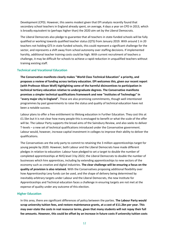Development (CPD). However, this seems modest given that EPI analysis recently found that secondary school teachers in England already spent, on average, 4 days a year on CPD in 2013, which is broadly equivalent to (perhaps higher than) the 2020 aim set by the Liberal Democrats.

The Liberal Democrats also pledge to guarantee that all teachers in state-funded schools will be fully qualified or working towards qualified teacher status (QTS) from January 2019. With around 1 in 20 teachers not holding QTS in state funded schools, this could represent a significant challenge for the sector, and represents a shift away from school autonomy over staffing decisions. If implemented harshly, additional teacher training costs could be high. With current recruitment of teachers a challenge, it may be difficult for schools to achieve a rapid reduction in unqualified teachers without training existing staff.

#### <span id="page-12-0"></span>**Technical and Vocational Education**

**The Conservative manifesto clearly makes "World Class Technical Education" a priority, and proposes a review of funding across tertiary education. EPI welcomes this, given our recent report (with Professor Alison Wolf) highlighting some of the harmful disincentives to participation in technical tertiary education relative to undergraduate degrees. The Conservative manifesto promises a simpler technical qualifications framework and new "Institutes of Technology" in "every major city in England".** These are also promising commitments, though well intentioned programmes by past governments to raise the status and quality of technical education have not been a notable success.

Labour plans to offer a free entitlement to lifelong education in Further Education. They cost this at £1.5bn but it is not clear how many people this is envisaged to benefit or what the scale of the offer will be. The Labour Party supports the broad aims of the Sainsbury Review, and also seeks to deliver T-levels – a new set of technical qualifications introduced under the Conservative government. Labour would, however, increase capital investment in colleges to improve their ability to deliver the qualifications.

The Conservatives are the only party to commit to retaining the 3 million apprenticeships target for young people by 2020. However, both Labour and the Liberal Democrats have made different pledges in relation to education: Labour have pledged to set a target to double the number of completed apprenticeships at NVQ level 3 by 2022; the Liberal Democrats to double the number of businesses which hire apprentices, including by extending apprenticeships to new sectors of the economy such as creative and digital industries. **The clear challenge will be ensuring a focus on the quality of provision is also retained.** With the Conservatives proposing additional flexibility over how Apprenticeship Levy funds can be used, and the shape of delivery being determined by inevitably-arbitrary targets under Labour and the Liberal Democrats, the new Institute for Apprenticeships and Technical education faces a challenge in ensuring targets are not met at the expense of quality under any outcome of this election.

#### <span id="page-12-1"></span>**Higher Education**

In this area, there are significant differences of policy between the parties. **The Labour Party would scrap university tuition fees, and restore maintenance grants, at a cost of £11.2bn per year. This may over-state the costs in real resource terms, given that many students will not repay their full fee amounts. However, this could be offset by an increase in future costs if university tuition costs**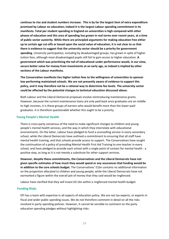**continue to rise and student numbers increase. This is by far the largest item of extra expenditure promised by Labour on education; indeed it is the largest Labour spending commitment in its manifesto. Total per student spending in England on universities is high compared with other phases of education and this area of spending has grown in real terms over recent years, at a time of public sector austerity. While there are principled arguments for making education free either up to certain age cut-offs or based upon the social value of education, it is not clear to us that there is evidence to suggest that the university sector should be a priority for government spending**. University participation, including by disadvantaged groups, has grown in spite of higher tuition fees, although most disadvantaged pupils still fail to gain access to higher education. **A government which was prioritising the tail of educational under performance would, in our view, secure better value for money from investments at an early age, as indeed is implied by other sections of the Labour manifesto.**

**The Conservative manifesto ties higher tuition fees to the willingness of universities to sponsor low performing maintained schools. We are not presently aware of evidence to support this policy, and it may therefore not be a rational way to determine fee levels. The university sector could be affected by the potential changes to technical education discussed above.**

Both Labour and the Liberal Democrat proposals involve reintroducing maintenance grants. However, because the current maintenance loans are only paid back once graduates are on middle to high incomes, it is these groups of earners who would benefit more than the lower-paid graduates. It is therefore questionable whether this ought to be a priority.

#### <span id="page-13-0"></span>**Young People's Mental Health**

There is cross-party consensus of the need to make significant changes to children and young people's mental health services, and the way in which they interrelate with educational environments. On the latter, Labour have pledged to fund a counselling service in every secondary school, while the Liberal Democrats have outlined a commitment to ensuring that all staff have mental health training, and that schools provide access to support. The Conservatives have sought the continuation of a policy of providing Mental Health First Aid Training to one teacher in every school, and have pledged to provide each school with a single point of contact for mental health - a positive step, as long as it is not merely a substitute for other support services.

**However, despite these commitments, the Conservatives and the Liberal Democrats have not given specific estimates of how much they would spend or any assurances that funding would be in addition to the core schools budget.** The Conservatives' £1bn contains no additional information on the proportion allocated to children and young people; while the Liberal Democrats have not earmarked a figure within the overall pot of money that they said would be ringfenced.

Labour have clarified that they will invest £0.1bn within a ringfenced mental health budget.

#### <span id="page-13-1"></span>**Funding Risks**

EPI has a team with expertise in all aspects of education policy. We are not tax experts, or experts in fiscal and wider public spending issues. We do not therefore comment in detail on all the risks involved in party spending policies. However, it cannot be sensible to comment on the party education spending pledges without highlighting risks: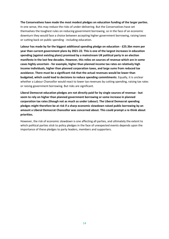# **The Conservatives have made the most modest pledges on education funding of the larger parties.** In one sense, this may reduce the risks of under-delivering. But the Conservatives have set themselves the toughest rules on reducing government borrowing, so in the face of an economic downturn they would face a choice between accepting higher government borrowing, raising taxes or cutting back on public spending - including education.

**Labour has made by far the biggest additional spending pledge on education - £25.3bn more per year than current government plans by 2021-22. This is one of the largest increases in education spending (against existing plans) promised by a mainstream UK political party in an election manifesto in the last few decades. However, this relies on sources of revenue which are in some cases highly uncertain - for example, higher than planned income tax rates on relatively high income individuals, higher than planned corporation taxes, and large sums from reduced tax avoidance. There must be a significant risk that the actual revenues would be lower than budgeted, which could lead to decisions to reduce spending commitments**. Equally, it is unclear whether a Labour Chancellor would react to lower tax revenues by cutting spending, raising tax rates or raising government borrowing. But risks are significant.

**Liberal Democrat education pledges are not directly paid for by single sources of revenue - but seem to rely on higher than planned government borrowing or some increase in planned corporation tax rates (though not as much as under Labour). The Liberal Democrat spending pledges might therefore be at risk if a sharp economic slowdown raised public borrowing by an amount a Liberal Democrat Chancellor was concerned about. This could prompt a re-think about priorities.** 

However, the risk of economic slowdown is one affecting all parties, and ultimately the extent to which political parties stick to policy pledges in the face of unexpected events depends upon the importance of these pledges to party leaders, members and supporters.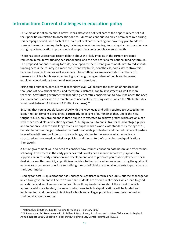# <span id="page-15-0"></span>**Introduction: Current challenges in education policy**

This election is not solely about Brexit. It has also given political parties the opportunity to set out their priorities in relation to domestic policies. Education continues to play a prominent role during this campaign period, with each of the main political parties setting out how they plan to address some of the more pressing challenges, including education funding, improving standards and access to high quality educational provision, and supporting young people's mental health.

There has been widespread recent debate about the likely impacts of the current projected reduction in real terms funding per school pupil, and the need for a fairer national funding formula. The proposed national funding formula, developed by the current government, aims to redistribute funding across the country in a more consistent way but is, nonetheless, politically controversial because it creates losers as well as winners. These difficulties are exacerbated by other cost pressures which schools are experiencing, such as growing numbers of pupils and increased employer contributions to national insurance and pensions.

Rising pupil numbers, particularly at secondary level, will require the creation of hundreds of thousands of new school places, and therefore substantial capital investment as well as more teachers. Any future government will need to give careful consideration to how it balances the need for new school places with the maintenance needs of the existing estate (which the NAO estimates would cost between £6.7bn and £13.8bn to address).<sup>13</sup>

Ensuring that young people leave school with the knowledge and skills required to succeed in the labour market remains a challenge, particularly so in light of our findings that, under the new, tougher GCSEs, only around one in three pupils are expected to achieve grades which are on a par with other world-class education systems.<sup>14</sup> This figure falls to one in five for disadvantaged pupils and so not only is there a challenge to ensure pupils reach a world-class standard by the age of 16, but also to narrow the gap between the most disadvantaged children and the rest. Different parties have offered different solutions to this challenge, relating to the ways in which schools are structured and governed, admissions policies, and the content of curriculum and qualifications frameworks.

A future government will also need to consider how it funds education both before and after formal schooling. Investment in the early years has traditionally been seen to serve two purposes: to support children's early education and development, and to promote parental employment. These dual aims can often conflict, as politicians decide whether to invest more in improving the quality of early years provision or prioritise subsidising the cost of childcare to enable parents to participate in the labour market.

Funding for post-16 qualifications has undergone significant reform since 2010, but the challenge for any future government will be to ensure that students are offered real choices which lead to good educational and employment outcomes. This will require decisions about the extent to which apprenticeships are funded; the ways in which new technical qualifications will be funded and implemented; and the overall viability of schools and colleges providing these routes as well as traditional academic routes.

<sup>&</sup>lt;sup>13</sup> National Audit Office, 'Capital funding for schools', February 2017

<sup>&</sup>lt;sup>14</sup> N. Perera, and M. Treadaway with P. Sellen, J. Hutchinson, R. Johnes, and L. Mao, 'Education in England: Annual Report 2016', Education Policy Institute (previously CentreForum), April 2016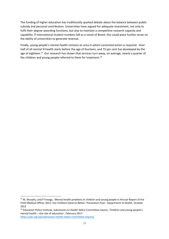The funding of higher education has traditionally sparked debate about the balance between public subsidy and personal contribution. Universities have argued for adequate investment, not only to fulfil their degree-awarding functions, but also to maintain a competitive research capacity and capability. If international student numbers fall as a result of Brexit, this could place further strain on the ability of universities to generate revenue.

Finally, young people's mental health remains an area in which concerted action is required. Over half of all mental ill health starts before the age of fourteen, and 75 per cent has developed by the age of eighteen.<sup>15</sup> Our research has shown that services turn away, on average, nearly a quarter of the children and young people referred to them for treatment.<sup>16</sup>

<sup>&</sup>lt;sup>15</sup> M. Murphy, and P Fonagy, 'Mental health problems in children and young people in Annual Report of the Chief Medical Officer 2012, Our Children Deserve Better: Prevention Pays', Department of Health, October 2013

<sup>&</sup>lt;sup>16</sup> Education Policy Institute, Submission to Health Select Committee inquiry, 'Children and young people's mental health – the role of education', February 2017: <https://epi.org.uk/submission-health-select-committee-inquiry/>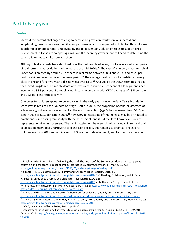# <span id="page-17-0"></span>**Part 1: Early years**

# <span id="page-17-1"></span>**Context**

**.** 

Many of the current challenges relating to early years provision result from an inherent and longstanding tension between the different purposes which it is expected to fulfil: to offer childcare in order to promote parental employment, and to deliver early education so as to support child development.<sup>17</sup> These are competing aims, and the incoming government will need to determine the balance it wishes to strike between them.

Although childcare costs have stabilised over the past couple of years, this follows a sustained period of real-terms increases dating back at least to the mid-1990s.<sup>18</sup> The cost of a nursery place for a child under two increased by around 20 per cent in real terms between 2004 and 2014, and by 23 per cent for children over two over the same period.<sup>19</sup> The average weekly cost of a part-time nursery place in England for a two-year-old is now just over £113.<sup>20</sup> Analysis by the OECD estimates that in the United Kingdom, full-time childcare costs typically consume 7.9 per cent of a lone parent's net income and 33.8 per cent of a couple's net income (compared with OECD averages of 13.5 per cent and 12.6 per cent respectively). $21$ 

Outcomes for children appear to be improving in the early years: since the Early Years Foundation Stage Profile replaced the Foundation Stage Profile in 2013, the proportion of children assessed as achieving a good level of development at the end of reception (age 5) has increased from 51.7 per cent in 2013 to 69.3 per cent in 2016.<sup>22</sup> However, at least some of this increase may be attributed to practitioners' increasing familiarity with the assessment, and it is difficult to know how much this represents genuine improvement. The gap in attainment between disadvantaged children and their peers has been gradually narrowing over the past decade, but remains substantial. The gap for children aged 5 in 2015 was equivalent to 4.3 months of development, and for the cohort who sat

```
<sup>18</sup> J. Rutter, '2016 Childcare Survey', Family and Childcare Trust, February 2016, p.3:
```
[https://www.familyandchildcaretrust.org/childcare-survey-2016-0;](https://www.familyandchildcaretrust.org/childcare-survey-2016-0) C. Harding, B. Wheaton, and A. Butler, 'Childcare survey 2017', Family and Childcare Trust, March 2017, p.3:

<sup>&</sup>lt;sup>17</sup> R. Johnes with J. Hutchinson, 'Widening the gap? The impact of the 30-hour entitlement on early years education and childcare', Education Policy Institute (previously CentreForum), May 2016, p.9: [https://epi.org.uk/wp-content/uploads/2016/05/widening-the-gap-final-epi.pdf.](https://epi.org.uk/wp-content/uploads/2016/05/widening-the-gap-final-epi.pdf) 

[https://www.familyandchildcaretrust.org/childcare-survey-2017;](https://www.familyandchildcaretrust.org/childcare-survey-2017) A. Butler with D. Lugton and J. Rutter, 'Where next for childcare?', Family and Childcare Trust, p.55: [https://www.familyandchildcaretrust.org/where](https://www.familyandchildcaretrust.org/where-next-childcare-learning-last-ten-years-childcare-policy)[next-childcare-learning-last-ten-years-childcare-policy.](https://www.familyandchildcaretrust.org/where-next-childcare-learning-last-ten-years-childcare-policy)

<sup>&</sup>lt;sup>19</sup> A. Butler with D. Lugton and J. Rutter, 'Where next for childcare?', Family and Childcare Trust, p.55: [https://www.familyandchildcaretrust.org/where-next-childcare-learning-last-ten-years-childcare-policy.](https://www.familyandchildcaretrust.org/where-next-childcare-learning-last-ten-years-childcare-policy) <sup>20</sup> C. Harding, B. Wheaton, and A. Butler, 'Childcare survey 2017', Family and Childcare Trust, March 2017, p.3: [https://www.familyandchildcaretrust.org/childcare-survey-2017.](https://www.familyandchildcaretrust.org/childcare-survey-2017)

<sup>21</sup> OECD, 'Society at a Glance 2016', 2016, pp.29-30.

<sup>&</sup>lt;sup>22</sup> Department for Education, 'Early years foundation stage profile results in England, 2016', SFR 50/2016, October 2016[: https://www.gov.uk/government/statistics/early-years-foundation-stage-profile-results-2015](https://www.gov.uk/government/statistics/early-years-foundation-stage-profile-results-2015-to-2016) [to-2016.](https://www.gov.uk/government/statistics/early-years-foundation-stage-profile-results-2015-to-2016)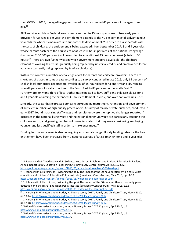their GCSEs in 2015, the age-five gap accounted for an estimated 40 per cent of the age-sixteen gap.<sup>23</sup>

All 3 and 4 year olds in England are currently entitled to 15 hours per week of free early years provision for 38 weeks per year; this entitlement extends to the 40 per cent most disadvantaged 2 year olds for whom its main aim is to support child development.<sup>24</sup> In order to assist parents with the costs of childcare, the entitlement is being extended: from September 2017, 3 and 4 year-olds whose parents each earn the equivalent of at least 16 hours per week at the national living wage (but under £100,000 per year) will be entitled to an additional 15 hours per week (a total of 30 hours).<sup>25</sup> There are two further ways in which government support is available: the childcare element of working tax credit (gradually being replaced by universal credit); and employer childcare vouchers (currently being replaced by tax-free childcare).

Within this context, a number of challenges exist for parents and childcare providers. There are shortages of places in some areas: according to a survey conducted in late 2016, only 64 per cent of English local authorities reported full availability of 15-hour places for 3 and 4 year-olds, ranging from 42 per cent of local authorities in the South East to 83 per cent in the North East.<sup>26</sup> Furthermore, only one-third of local authorities expected to have sufficient childcare places for 3 and 4 year olds claiming the extended 30-hour entitlement in 2017, and over half were unsure.<sup>27</sup>

Similarly, the sector has expressed concerns surrounding recruitment, retention, and development of sufficient numbers of high quality practitioners. A survey of mainly private nurseries, conducted in early 2017, found that rising staff wages and recruitment were the top two challenges reported.<sup>28</sup> Increases in the national living wage and the national minimum wage are particularly affecting the childcare sector, and growing numbers of nurseries stated that they were considering employing younger and less qualified staff in order to make ends meet.<sup>29</sup>

Funding for the early years is also undergoing substantial change. Hourly funding rates for the free entitlement have been increased from a national average of £4.56 to £4.94 for 3 and 4 year-olds,

<sup>&</sup>lt;sup>23</sup> N. Perera and M. Treadaway with P. Sellen, J. Hutchinson, R. Johnes, and L. Mao, 'Education in England: Annual Report 2016', Education Policy Institute (previously CentreForum), April 2016, p.42: [https://epi.org.uk/wp-content/uploads/2016/05/education-in-england-2016-web.pdf.](https://epi.org.uk/wp-content/uploads/2016/05/education-in-england-2016-web.pdf)

 $24$  R. Johnes with J. Hutchinson, 'Widening the gap? The impact of the 30-hour entitlement on early years education and childcare', Education Policy Institute (previously CentreForum), May 2016, pp.11-12: [https://epi.org.uk/wp-content/uploads/2016/05/widening-the-gap-final-epi.pdf.](https://epi.org.uk/wp-content/uploads/2016/05/widening-the-gap-final-epi.pdf)

<sup>&</sup>lt;sup>25</sup> R. Johnes with J. Hutchinson, 'Widening the gap? The impact of the 30-hour entitlement on early years education and childcare', Education Policy Institute (previously CentreForum), May 2016, p.12: [https://epi.org.uk/wp-content/uploads/2016/05/widening-the-gap-final-epi.pdf.](https://epi.org.uk/wp-content/uploads/2016/05/widening-the-gap-final-epi.pdf)

<sup>&</sup>lt;sup>26</sup> C. Harding, B. Wheaton, and A. Butler, 'Childcare survey 2017', Family and Childcare Trust, March 2017, pp.13-14: [https://www.familyandchildcaretrust.org/childcare-survey-2017.](https://www.familyandchildcaretrust.org/childcare-survey-2017)

<sup>&</sup>lt;sup>27</sup> C. Harding, B. Wheaton, and A. Butler, 'Childcare survey 2017', Family and Childcare Trust, March 2017, pp.17-18: [https://www.familyandchildcaretrust.org/childcare-survey-2017.](https://www.familyandchildcaretrust.org/childcare-survey-2017)

<sup>&</sup>lt;sup>28</sup> National Day Nurseries Association, 'Annual Nursery Survey 2017: England', April 2017, p.6: [http://www.ndna.org.uk/annualsurvey2017.](http://www.ndna.org.uk/annualsurvey2017)

<sup>&</sup>lt;sup>29</sup> National Day Nurseries Association, 'Annual Nursery Survey 2017: England', April 2017, p.6: [http://www.ndna.org.uk/annualsurvey2017.](http://www.ndna.org.uk/annualsurvey2017)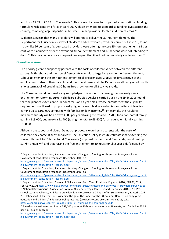and from £5.09 to £5.39 for 2 year-olds.<sup>30</sup> This overall increase forms part of a new national funding formula which came into force in April 2017. This is intended to standardise funding levels across the country, removing large disparities in between similar providers located in different areas. $31$ 

Evidence suggests that many providers will opt not to deliver the 30-hour entitlement. The Department for Education's survey of childcare and early years providers, carried out in 2016, found that whilst 96 per cent of group-based providers were offering the core 15-hour entitlement, 63 per cent were planning to offer the extended 30-hour entitlement and 17 per cent were not intending to do so.<sup>32</sup> This may be because some providers expect that it will not be financially viable for them.<sup>33</sup>

# <span id="page-19-0"></span>**Overall assessment**

 $\overline{a}$ 

The priority given to supporting parents with the costs of childcare varies between the different parties. Both Labour and the Liberal Democrats commit to large increases in the free entitlement; Labour to extending the 30-hour entitlement to all children aged 2 upwards (irrespective of the employment status of their parents) and the Liberal Democrats to 15 hours for all two year olds with a 'long term goal' of providing 30 hours free provision for all 2 to 4 year-olds.

The Conservatives do not make any new pledges in relation to increasing the free early years entitlement or reforming current childcare subsidies. Analysis carried out by the EPI in 2016 found that the planned extension to 30 hours for 3 and 4 year-olds (whose parents meet the eligibility requirements) will lead to proportionally higher overall childcare subsidies for better-off families earning up to £100,000 compared with families on low incomes.<sup>34</sup> For example, the resulting maximum subsidy will be an extra £600 per year (taking the total to £2,700) for a two-parent family earning £19,000, but an extra £1,400 (taking the total to £3,400) for an equivalent family earning £100,000.

Although the Labour and Liberal Democrat proposals would assist parents with the costs of childcare, they come at substantial cost. The Education Policy Institute estimates that extending the free entitlement to 15 hours for all 2 year-olds (proposed by the Liberal Democrats) could cost up to £1.7bn annually,<sup>35</sup> and that raising the free entitlement to 30 hours for all 2 year olds (pledged by

[https://www.gov.uk/government/uploads/system/uploads/attachment\\_data/file/574040/Early\\_years\\_fundin](https://www.gov.uk/government/uploads/system/uploads/attachment_data/file/574040/Early_years_funding_government_consultation_response.pdf) [g\\_government\\_consultation\\_response.pdf.](https://www.gov.uk/government/uploads/system/uploads/attachment_data/file/574040/Early_years_funding_government_consultation_response.pdf)

<sup>34</sup> R. Johnes with J. Hutchinson, 'Widening the gap? The impact of the 30-hour entitlement on early years education and childcare', Education Policy Institute (previously CentreForum), May 2016, p.12: [https://epi.org.uk/wp-content/uploads/2016/05/widening-the-gap-final-epi.pdf.](https://epi.org.uk/wp-content/uploads/2016/05/widening-the-gap-final-epi.pdf)

 $30$  Department for Education, 'Early years funding: Changes to funding for three- and four-year-olds – Government consultation response', December 2016, p.5:

 $31$  Department for Education, 'Early years funding: Changes to funding for three- and four-year-olds – Government consultation response', December 2016, p.6:

[https://www.gov.uk/government/uploads/system/uploads/attachment\\_data/file/574040/Early\\_years\\_fundin](https://www.gov.uk/government/uploads/system/uploads/attachment_data/file/574040/Early_years_funding_government_consultation_response.pdf) [g\\_government\\_consultation\\_response.pdf.](https://www.gov.uk/government/uploads/system/uploads/attachment_data/file/574040/Early_years_funding_government_consultation_response.pdf)

<sup>&</sup>lt;sup>32</sup> Department for Education, 'Survey of Childcare and Early Years Providers, England, 2016', SFR 09/2017, February 2017: [https://www.gov.uk/government/statistics/childcare-and-early-years-providers-survey-2016.](https://www.gov.uk/government/statistics/childcare-and-early-years-providers-survey-2016)

<sup>&</sup>lt;sup>33</sup> National Day Nurseries Association, 'Annual Nursery Survey 2016 – England', February 2016, p.11; Preschool Learning Alliance, 'Childcare providers fear closure over 30-hours offer, survey reveals', 20 April 2016.

<sup>&</sup>lt;sup>35</sup> Based on an estimated additional 553,000 places at 15 hours per week over 38 weeks, and funded at £5.39 per hour as announced:

[https://www.gov.uk/government/uploads/system/uploads/attachment\\_data/file/574040/Early\\_years\\_fundin](https://www.gov.uk/government/uploads/system/uploads/attachment_data/file/574040/Early_years_funding_government_consultation_response.pdf) [g\\_government\\_consultation\\_response.pdf,](https://www.gov.uk/government/uploads/system/uploads/attachment_data/file/574040/Early_years_funding_government_consultation_response.pdf) and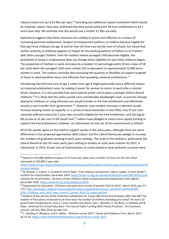Labour) could cost up to £3.9bn per year,<sup>36</sup> excluding any additional capital investment which would be required. Labour have also confirmed that they would extend the 30-hour entitlement to all 3 and 4 year-olds. We estimate that this would cost a further £1.9bn annually.

Experience suggests that these measures are unlikely to prove cost-effective as a means of increasing parental employment. Analysis of employment patterns as children become eligible for free part-time childcare (at age 3) and for free full-time care (at the start of school), has found that neither quantity of childcare appears to impact on the working patterns of fathers or of mothers with other younger children. Even for mothers whose youngest child becomes eligible, the probability of being in employment does not change when eligibility for part-time childcare begins. The proportion of mothers in work increases by a modest 3.5 percentage points (from a base of 58 per cent) when the youngest child starts school; this is equivalent to approximately 12,000 extra women in work. The authors conclude that increasing the quantity or flexibility of support targeted at those in need would be more cost-effective than providing universal entitlements.<sup>37</sup>

Introducing free full-time care at age 2 rather than age 4 might potentially have a different impact on maternal employment rates, by making it easier for women to return to work after a shorter break. However, it is also possible that some parents prefer not to place a younger child in formal childcare. <sup>38</sup> It is likely that this policy would carry considerable deadweight costs, as parents already paying for childcare or using informal care would transfer to the free entitlement and effectively receive a cash transfer from government.<sup>39</sup> However, even modest increases in demand would increase existing strains on capacity. In a survey of local authorities in late 2016, only 47 per cent reported sufficient places for 2 year-olds currently eligible for the free entitlement, and this figure fell as low as 32 per cent in the South East.<sup>40</sup> Labour have pledged to invest more capital funding to support the free entitlement; however, no information on the size of this commitment is offered.

All of the parties agree on the need to support quality in the early years, although there are some differences in the proposed approaches. Both Labour and the Liberal Democrats pledge to increase the numbers of graduates working in early years settings. The scale of this ambition, particularly the Liberal Democrat aim for every early years setting to employ an early years teacher by 2022, is substantial. In 2016, 92 per cent of head teachers at school-based or local authority nurseries were

<sup>&</sup>lt;sup>36</sup> Based on 553,000 additional places at 15 hours per week, plus a further 15 hours for the full cohort estimated at 720,000 2 year-olds:

[https://www.ons.gov.uk/peoplepopulationandcommunity/birthsdeathsandmarriages/livebirths/datasets/birth](https://www.ons.gov.uk/peoplepopulationandcommunity/birthsdeathsandmarriages/livebirths/datasets/birthsummarytables) [summarytables\)](https://www.ons.gov.uk/peoplepopulationandcommunity/birthsdeathsandmarriages/livebirths/datasets/birthsummarytables).

<sup>&</sup>lt;sup>37</sup> M. Brewer, S. Cattan, C. Crawford, and B. Rabe, 'Free childcare and parents' labour supply: is more better?', Institute for Fiscal Studies, December 2016: [https://www.ifs.org.uk/uploads/publications/wps/WP201622.pdf;](https://www.ifs.org.uk/uploads/publications/wps/WP201622.pdf) Institute for Fiscal Studies, '30 hours of free childcare likely to boost parental employment only slightly', December 2016[: https://www.ifs.org.uk/publications/8793.](https://www.ifs.org.uk/publications/8793)

<sup>&</sup>lt;sup>38</sup> Department for Education, 'Childcare and early years survey of parents 2014 to 2015', March 2016, pp.171-172: [https://www.gov.uk/government/uploads/system/uploads/attachment\\_data/file/516924/SFR09-](https://www.gov.uk/government/uploads/system/uploads/attachment_data/file/516924/SFR09-2016_Childcare_and_Early_Years_Parents_Survey_2014-15_report.pdf.pdf) 2016 Childcare and Early Years Parents Survey 2014-15 report.pdf.pdf.

<sup>&</sup>lt;sup>39</sup> Analysis of the roll-out of the initial free entitlement for 3-year-olds found that between 2002 and 2007 the number of free places increased much more than the number of children attending pre-school: for every 10 government-funded places, only 2.7 were actually new places. See: J. Blanden, E. Del Bono, S. McNally and B. Rabe, 'Universal Pre-School Education: The Case of Public Funding With Private Provision', The Economic Journal, 126:592, May 2016, pp.682-723.

<sup>40</sup> C. Harding, B. Wheaton, and A. Butler, 'Childcare survey 2017', Family and Childcare Trust, March 2017, pp.13-14: [https://www.familyandchildcaretrust.org/childcare-survey-2017.](https://www.familyandchildcaretrust.org/childcare-survey-2017)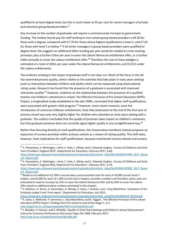qualified to at least degree level, but this is much lower at 33 per cent for senior managers of private and voluntary group-based providers. 41

Any increase to the number of graduates will require a commensurate increase to government funding. The median hourly pay for staff working in non-school group-based providers is £9.20 for those with a degree, compared with £7.70 for those whose highest qualification is level 3, and £7.20 for those with level 2 or below.<sup>42</sup> If all senior managers in group-based providers were qualified to degree level, this suggests an additional £66m funding per year would be needed to cover existing provision; plus a further £16m per year to cover the Liberal Democrat entitlement offer, or a further £56m annually to cover the Labour entitlement offer.<sup>43</sup> Therefore the cost of these pledges is estimated at a total of £83m per year under the Liberal Democrat entitlements, and £122m under the Labour entitlements.

The evidence relating to the impact of graduate staff is not clear-cut. Much of the focus in the UK has examined process quality, which relates to the activities that take place in early years settings (such as interactions between children and adults) which can be measured using observational rating scales. Research has found that the presence of a graduate is associated with improved interaction quality.<sup>44</sup> However, evidence on the relationship between the presence of a qualified teacher and children's attainment is mixed. The Effective Provision of Pre-School Education (EPPE) Project, a longitudinal study established in the late 1990s, concluded that higher staff qualifications were associated with greater child progress.<sup>45</sup> However, more recent research, since the introduction of universal childcare entitlements, finds that attainment at the end of the first year of primary school was only very slightly higher for children who attended an early years setting with a graduate. The authors concluded that the quality of provision does impact on children's outcomes, but that graduate presence does not currently signal higher quality in any straightforward way.<sup>46</sup>

Rather than focusing directly on staff qualifications, the Conservative manifesto instead proposes an expansion of nursery provision within primary schools as a means of raising quality. This shift does, however, have implications for staff qualifications, because maintained nursery schools and nursery

 $\overline{a}$ 

[https://www.gov.uk/government/uploads/system/uploads/attachment\\_data/file/181480/DFE-RR144.pdf.](https://www.gov.uk/government/uploads/system/uploads/attachment_data/file/181480/DFE-RR144.pdf) <sup>45</sup> K. Sylva, E. Melhuish, P. Sammons, I. Siraj-Blatchford, and B. Taggart, 'The Effective Provision of Pre-school Education (EPPE) Project: Findings from Pre-school to end of Key Stage 1', p.3: [http://eppe.ioe.ac.uk/eppe/eppepdfs/RBTec1223sept0412.pdf.](http://eppe.ioe.ac.uk/eppe/eppepdfs/RBTec1223sept0412.pdf)

<sup>&</sup>lt;sup>41</sup> S. Panayiotou, S. McGinigal, J. Kent, C. Smit, C. Witsø, and E. Edwards-Hughes, 'Survey of Childcare and Early Years Providers: England 2016', Department for Education, February 2017, p.60:

[https://www.gov.uk/government/uploads/system/uploads/attachment\\_data/file/593965/SFR09\\_2017\\_Resea](https://www.gov.uk/government/uploads/system/uploads/attachment_data/file/593965/SFR09_2017_Research_Report.pdf) [rch\\_Report.pdf.](https://www.gov.uk/government/uploads/system/uploads/attachment_data/file/593965/SFR09_2017_Research_Report.pdf)

<sup>42</sup> S. Panayiotou, S. McGinigal, J. Kent, C. Smit, C. Witsø, and E. Edwards-Hughes, 'Survey of Childcare and Early Years Providers: England 2016, Department for Education', February 2017, p.70:

[https://www.gov.uk/government/uploads/system/uploads/attachment\\_data/file/593965/SFR09\\_2017\\_Resea](https://www.gov.uk/government/uploads/system/uploads/attachment_data/file/593965/SFR09_2017_Research_Report.pdf) [rch\\_Report.pdf.](https://www.gov.uk/government/uploads/system/uploads/attachment_data/file/593965/SFR09_2017_Research_Report.pdf)

<sup>43</sup> Based on an additional £3,700 in annual salary and associated costs for each of 16,000 current level 3 leaders, and £5,000 for each of 1,300 current level 2 leaders; provider numbers and therefore salary costs are estimated to need to increase by 25% to cover the Liberal Democrat offer and by 85% to cover the Labour offer based on additional place numbers estimated in this chapter.

<sup>44</sup> S. Mathers, H. Ranns, A. Karemaker, A. Moody, K. Sylva, J. Graham, and I. Siraj-Blatchford, 'Evaluation of the Graduate Leader Fund: Final report', Department for Education, July 2011:

<sup>46</sup> J. Blanden, K. Hansen, and S. McNally, 'Quality in Early Years Settings and Children's School Achievement', Centre for Economic Performance Discussion Paper No 1468, February 2017: [http://cep.lse.ac.uk/pubs/download/dp1468.pdf.](http://cep.lse.ac.uk/pubs/download/dp1468.pdf)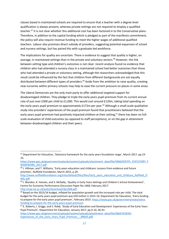classes based in maintained schools are required to ensure that a teacher with a degree level qualification is always present, whereas private settings are not required to employ a qualified teacher.<sup>47</sup> It is not clear whether this additional cost has been factored in to the Conservative plans. Therefore, in addition to the capital funding which is pledged as part of the manifesto commitment, the policy will also require revenue funding to meet the higher wages of additional qualified teachers. Labour also promises direct subsidy of providers, suggesting potential expansion of school and nursery settings, but has paired this with a graduate-led workforce.

The implications for quality are uncertain. There is evidence to suggest that quality is higher, on average, in maintained settings than in the private and voluntary sectors. <sup>48</sup> However, the link between setting type and children's outcomes is not clear: recent analysis found no evidence that children who had attended a nursery class in a maintained school had better outcomes than those who had attended a private or voluntary setting, although the researchers acknowledged that this result could be influenced by the fact that children from different backgrounds are not equally distributed between different types of providers.<sup>49</sup> Aside from the ambition to raise quality, creating new nurseries within primary schools may help to ease the current pressure on places in some areas.

The Liberal Democrats are the only main party to offer additional targeted support for disadvantaged children. They pledge to triple the early years pupil premium from its current annual rate of just over £300 per child to £1,000. This would cost around £120m, taking total spending on the early years pupil premium to approximately  $£172m$  per year.<sup>50</sup> Although a small-scale qualitative study into providers' experiences of the pupil premium found that practitioners believed that the early years pupil premium had positively impacted children at their setting,<sup>51</sup> there has been no fullscale evaluation of child outcomes (as opposed to staff perceptions), or on the gap in attainment between disadvantaged children and their peers.

 $\overline{a}$ 

<sup>47</sup> Department for Education, 'Statutory framework for the early years foundation stage', March 2017, pp.23- 25:

[https://www.gov.uk/government/uploads/system/uploads/attachment\\_data/file/596629/EYFS\\_STATUTORY\\_F](https://www.gov.uk/government/uploads/system/uploads/attachment_data/file/596629/EYFS_STATUTORY_FRAMEWORK_2017.pdf) [RAMEWORK\\_2017.pdf.](https://www.gov.uk/government/uploads/system/uploads/attachment_data/file/596629/EYFS_STATUTORY_FRAMEWORK_2017.pdf)

<sup>48</sup> J. Hillman, and T. Williams, 'Early years education and childcare: Lessons from evidence and future priorities', Nuffield Foundation, March 2015, p.29:

[http://www.nuffieldfoundation.org/sites/default/files/files/Early\\_years\\_education\\_and\\_childcare\\_Nuffield\\_FI](http://www.nuffieldfoundation.org/sites/default/files/files/Early_years_education_and_childcare_Nuffield_FINAL.pdf)\_ [NAL.pdf.](http://www.nuffieldfoundation.org/sites/default/files/files/Early_years_education_and_childcare_Nuffield_FINAL.pdf)

<sup>49</sup> J. Blanden, K. Hansen, and S. McNally, 'Quality in Early Years Settings and Children's School Achievement', Centre for Economic Performance Discussion Paper No 1468, February 2017: [http://cep.lse.ac.uk/pubs/download/dp1468.pdf.](http://cep.lse.ac.uk/pubs/download/dp1468.pdf) 

<sup>50</sup> Based on the 2015/16 budget, inflated for population growth and the increased rate per child. The total budget for the early years pupil premium was £50 million in 2015-16: Department for Education, 'Extra funding to prepare for the early years pupil premium', February 2015: [https://www.gov.uk/government/news/extra](https://www.gov.uk/government/news/extra-funding-to-prepare-for-the-early-years-pupil-premium)[funding-to-prepare-for-the-early-years-pupil-premium.](https://www.gov.uk/government/news/extra-funding-to-prepare-for-the-early-years-pupil-premium)

<sup>&</sup>lt;sup>51</sup> E. Roberts, J. Griggs, and S. Robb, 'Study of Early Education and Development: Experiences of the Early Years Pupil Premium', Department for Education, January 2017, pp.9-10, 36-41:

[https://www.gov.uk/government/uploads/system/uploads/attachment\\_data/file/586474/SEED-](https://www.gov.uk/government/uploads/system/uploads/attachment_data/file/586474/SEED-Experiences_of_the_Early_Years_Pupil_Premium_-_RR645.pdf)Experiences of the Early Years Pupil Premium - RR645.pdf.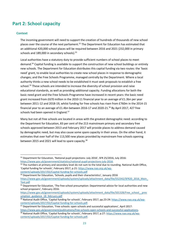# <span id="page-23-0"></span>**Part 2: School capacity**

# <span id="page-23-1"></span>**Context**

1

The incoming government will need to support the creation of hundreds of thousands of new school places over the course of the next parliament.<sup>52</sup> The Department for Education has estimated that an additional 420,000 school places will be required between 2016 and 2021 (232,000 in primary schools and 189,000 in secondary schools).<sup>53</sup>

Local authorities have a statutory duty to provide sufficient numbers of school places to meet demand.<sup>54</sup> Capital funding is available to support the construction of new school buildings or entirely new schools. The Department for Education distributes this capital funding via two routes: the 'basic need' grant, to enable local authorities to create new school places in response to demographic changes; and the Free Schools Programme, managed centrally by the Department. Where a local authority thinks a new school needs to be established it must seek proposals to establish a free school.<sup>55</sup> These schools are intended to increase the diversity of school provision and raise educational standards, as well as providing additional capacity. Funding allocations for both the basic need grant and the Free Schools Programme have increased in recent years: the basic need grant increased from £670 million in the 2010-11 financial year to an average of £1.3bn per year between 2011-12 and 2018-19, whilst funding for free schools has risen from £760m in the 2014-15 financial year to an average of £1.4bn between 2016-17 and 2020-21.<sup>56</sup> By April 2017, 427 free schools had been opened in England.<sup>57</sup>

Many but not all free schools are located in areas with the greatest demographic need: according to the Department for Education, 83 per cent of the 213 mainstream primary and secondary free schools approved between 2013 and February 2017 will provide places to address demand caused by demographic need, but may also cause some spare capacity in their areas. On the other hand, it estimates that over half of the 113,500 new places provided by mainstream free schools opening between 2015 and 2021 will lead to spare capacity.<sup>58</sup>

<sup>&</sup>lt;sup>52</sup> Department for Education, 'National pupil projections: July 2016', SFR 25/2016, July 2016: [https://www.gov.uk/government/statistics/national-pupil-projections-july-2016.](https://www.gov.uk/government/statistics/national-pupil-projections-july-2016) 

<sup>&</sup>lt;sup>53</sup> The numbers at primary and secondary level do not sum to the total due to rounding. National Audit Office, 'Capital funding for schools', February 2017, p.21: [https://www.nao.org.uk/wp](https://www.nao.org.uk/wp-content/uploads/2017/02/Capital-funding-for-schools.pdf)[content/uploads/2017/02/Capital-funding-for-schools.pdf](https://www.nao.org.uk/wp-content/uploads/2017/02/Capital-funding-for-schools.pdf)

<sup>54</sup> Department for Education, 'Schools, pupils and their characteristics', January 2016

[https://www.gov.uk/government/uploads/system/uploads/attachment\\_data/file/552342/SFR20\\_2016\\_Main\\_](https://www.gov.uk/government/uploads/system/uploads/attachment_data/file/552342/SFR20_2016_Main_Text.pdf) [Text.pdf](https://www.gov.uk/government/uploads/system/uploads/attachment_data/file/552342/SFR20_2016_Main_Text.pdf)

<sup>&</sup>lt;sup>55</sup> Department for Education, 'The free school presumption: Departmental advice for local authorities and new school proposers', February 2016:

[https://www.gov.uk/government/uploads/system/uploads/attachment\\_data/file/501328/Free\\_school\\_\\_pres](https://www.gov.uk/government/uploads/system/uploads/attachment_data/file/501328/Free_school__presumption_guidance_18_february.pdf) [umption\\_guidance\\_18\\_february.pdf](https://www.gov.uk/government/uploads/system/uploads/attachment_data/file/501328/Free_school__presumption_guidance_18_february.pdf)

<sup>56</sup> National Audit Office, 'Capital funding for schools', February 2017, pp.23-24[: https://www.nao.org.uk/wp](https://www.nao.org.uk/wp-content/uploads/2017/02/Capital-funding-for-schools.pdf)[content/uploads/2017/02/Capital-funding-for-schools.pdf.](https://www.nao.org.uk/wp-content/uploads/2017/02/Capital-funding-for-schools.pdf)

<sup>57</sup> Department for Education, 'Free schools: open schools and successful applications', April 2017: [https://www.gov.uk/government/publications/free-schools-open-schools-and-successful-applications.](https://www.gov.uk/government/publications/free-schools-open-schools-and-successful-applications)

<sup>58</sup> National Audit Office, 'Capital funding for schools', February 2017, p.27: [https://www.nao.org.uk/wp](https://www.nao.org.uk/wp-content/uploads/2017/02/Capital-funding-for-schools.pdf)[content/uploads/2017/02/Capital-funding-for-schools.pdf.](https://www.nao.org.uk/wp-content/uploads/2017/02/Capital-funding-for-schools.pdf)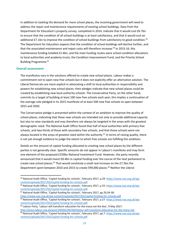In addition to tackling the demand for more school places, the incoming government will need to address the repair and maintenance requirements of existing school buildings. Data from the Department for Education's property survey, completed in 2014, indicate that it would cost £6.7bn to ensure that the condition of all school buildings is at least satisfactory, and that it would cost an additional £7.1bn to improve the condition of school buildings from satisfactory to good condition.<sup>59</sup> The Department for Education expects that the condition of school buildings will decline further, and that the associated maintenance and repair costs will therefore increase.<sup>60</sup> In 2015-16, this maintenance funding totalled £2.4bn, and the main funding routes were school condition allocations to local authorities and academy trusts, the Condition Improvement Fund, and the Priority School Building Programme.<sup>61</sup>

## <span id="page-24-0"></span>**Overall assessment**

 $\overline{a}$ 

The manifestos vary in the solutions offered to create new school places. Labour makes a commitment not to open new free schools but it does not explicitly offer an alternative solution. The Liberal Democrats are more explicit in advocating a shift to local authorities in responsibility and powers for establishing new school places: their pledges indicate that new school places could be created by establishing new local authority schools. The Conservative Party, on the other hand, commits to a target of building at least 100 new free schools each year; this implies a continuation of the average rate pledged in its 2015 manifesto of at least 500 new free schools to open between 2015 and 2020.

The Conservative pledge is presented within the context of an ambition to improve the quality of school places, indicating that these new schools are intended not only to provide additional capacity but also to raise standards and may therefore not always be targeted in the areas with the greatest demographic need. The National Audit Office found that half of local authorities with primary free schools, and two-thirds of those with secondary free schools, and that those schools were not always located in the areas of greatest need within the authority.<sup>62</sup> In terms of raising quality, there is not yet enough evidence to judge the extent to which free schools are fulfilling this ambition.

Details on the amount of capital funding allocated to creating new school places by the different parties is not generally clear. Specific amounts do not appear in Labour's manifesto and may form one element of the proposed £250bn National Investment Fund. However, the party recently announced that it would invest £8.4bn in capital funding over the course of the next parliament to create new school places.<sup>63</sup> That would constitute a small real increase on the £7.5bn the Department spent between 2010 and 2015 to create 599,000 places.<sup>64</sup> Neither the Liberal

<sup>60</sup> National Audit Office, 'Capital funding for schools', February 2017, p.33: [https://www.nao.org.uk/wp](https://www.nao.org.uk/wp-content/uploads/2017/02/Capital-funding-for-schools.pdf)[content/uploads/2017/02/Capital-funding-for-schools.pdf.](https://www.nao.org.uk/wp-content/uploads/2017/02/Capital-funding-for-schools.pdf)

<sup>61</sup> National Audit Office, 'Capital funding for schools', February 2017, pp.29,34-38:

<sup>59</sup> National Audit Office, 'Capital funding for schools', February 2017, p.29: [https://www.nao.org.uk/wp](https://www.nao.org.uk/wp-content/uploads/2017/02/Capital-funding-for-schools.pdf)[content/uploads/2017/02/Capital-funding-for-schools.pdf.](https://www.nao.org.uk/wp-content/uploads/2017/02/Capital-funding-for-schools.pdf)

<https://www.nao.org.uk/wp-content/uploads/2017/02/Capital-funding-for-schools.pdf> <sup>62</sup> National Audit Office, 'Capital funding for schools', February 2017, p.27: [https://www.nao.org.uk/wp](https://www.nao.org.uk/wp-content/uploads/2017/02/Capital-funding-for-schools.pdf)[content/uploads/2017/02/Capital-funding-for-schools.pdf.](https://www.nao.org.uk/wp-content/uploads/2017/02/Capital-funding-for-schools.pdf)

<sup>&</sup>lt;sup>63</sup> Labour Party, 'Labour will transform education for the many not the few', 9 May 2017: [http://press.labour.org.uk/post/160492246769/labour-will-transform-education-for-the-many-not.](http://press.labour.org.uk/post/160492246769/labour-will-transform-education-for-the-many-not) <sup>64</sup> National Audit Office, 'Capital funding for schools', February 2017, pp.7: [https://www.nao.org.uk/wp](https://www.nao.org.uk/wp-content/uploads/2017/02/Capital-funding-for-schools.pdf)[content/uploads/2017/02/Capital-funding-for-schools.pdf](https://www.nao.org.uk/wp-content/uploads/2017/02/Capital-funding-for-schools.pdf)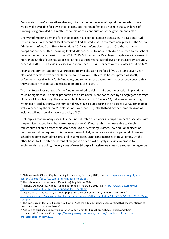Democrats or the Conservatives give any information on the level of capital funding which they would make available for new school places, but their manifestos do not rule out such levels of funding being provided as a matter of course or as a continuation of the government's plans.

One way of meeting demand for school places has been to increase class sizes. In a National Audit Office survey, 84 per cent of local authorities had 'bulged' classes to create new places.<sup>65</sup> The School Admissions (Infant Class Sizes) Regulations 2012 caps infant class sizes at 30, although lawful exceptions are permitted, including looked after children, twins, and children admitted to the school outside the normal admission rounds.<sup>66</sup> In 2016, 5.8 per cent of Key Stage 1 pupils were in classes of more than 30; this figure has stabilised in the last three years, but follows an increase from around 2 per cent in 2008.<sup>67</sup> Of those in classes with more than 30, 94.8 per cent were in classes of 31 or 32.<sup>68</sup>

Against this context, Labour have proposed to limit classes to 30 for all five-, six-, and seven yearolds, and to seek to extend that later if resources allow.<sup>69</sup> This could be interpreted as strictly enforcing a class size limit for infant years, and removing the exemptions that currently ensure that the vast majority of classes in excess of 30 pupils are 'lawful'.

The manifesto does not specify the funding required to deliver this, but the practical implications could be significant. The small proportion of classes over 30 are not caused by an aggregate shortage of places. Most obviously, the average infant class size in 2016 was 27.4, but even when looking within each local authority, the number of Key Stage 1 pupils taking their classes over 30 tends to be well exceeded by the 'spaces' in classes of fewer than 30 (notwithstanding that some classrooms included will not actually have a capacity of 30).<sup>70</sup>

That implies that, in many cases, it is the unpredictable fluctuations in pupil numbers associated with the permitted exceptions that take classes above 30. If local authorities were able to simply redistribute children across their local schools to prevent large classes, few additional places or teachers would be required. This, however, would likely require an erosion of parental choice and school freedoms over admissions, and in some cases significant increases in travel times. On the other hand, to illustrate the potential magnitude of costs of a highly inflexible approach to implementing the policy, **if every class of over 30 pupils in a given year led to another having to be** 

1

<sup>&</sup>lt;sup>65</sup> National Audit Office, 'Capital funding for schools', February 2017, p.41: [https://www.nao.org.uk/wp](https://www.nao.org.uk/wp-content/uploads/2017/02/Capital-funding-for-schools.pdf)[content/uploads/2017/02/Capital-funding-for-schools.pdf.](https://www.nao.org.uk/wp-content/uploads/2017/02/Capital-funding-for-schools.pdf)

<sup>&</sup>lt;sup>66</sup> The School Admissions (Infant Class Sizes) Regulations 2012.

<sup>67</sup> National Audit Office, 'Capital funding for schools', February 2017, p.8: [https://www.nao.org.uk/wp](https://www.nao.org.uk/wp-content/uploads/2017/02/Capital-funding-for-schools.pdf)[content/uploads/2017/02/Capital-funding-for-schools.pdf.](https://www.nao.org.uk/wp-content/uploads/2017/02/Capital-funding-for-schools.pdf)

 $68$  Department for Education, 'Schools, pupils and their characteristics', January 2016 (SFR20) [https://www.gov.uk/government/uploads/system/uploads/attachment\\_data/file/552342/SFR20\\_2016\\_Main\\_](https://www.gov.uk/government/uploads/system/uploads/attachment_data/file/552342/SFR20_2016_Main_Text.pdf) [Text.pdf](https://www.gov.uk/government/uploads/system/uploads/attachment_data/file/552342/SFR20_2016_Main_Text.pdf)

 $69$  The party's manifesto text suggests a limit of 'less than 30', but it has been clarified that the intention is to restrict classes to no more than 30.

 $70$  Analysis of published underlying data for Department for Education, 'Schools, pupils and their characteristics', January 2016: [https://www.gov.uk/government/statistics/schools-pupils-and-their](https://www.gov.uk/government/statistics/schools-pupils-and-their-characteristics-january-2016)[characteristics-january-2016](https://www.gov.uk/government/statistics/schools-pupils-and-their-characteristics-january-2016)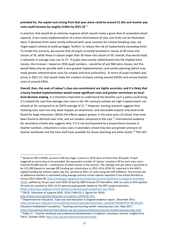# **provided for, the capital cost arising from that year alone could be around £1.5bn and teacher pay costs could increase by roughly £140m by 2021-22**. 71

In practice, that would be an extreme response which would create a great deal of unneeded school capacity. A less costly implementation of a strict enforcement of class size limits can be illustrated. Here, if absolute limits were strictly enforced with some sanction for schools breaking rules, we might expect schools to build up bigger 'buffers' to reduce the risk of inadvertantly exceeding limits. To model this scenario, we assume that all pupils currently bunched in classes of 30 move into classes of 29, while those in classes larger than 30 move into classes of 30. Overall, that would imply a reduction in average class size to 27. If pupils were evenly redistributed into the implied extra classes, the increase – based on 2016 pupil numbers – would be of just 960 extra classes, but this would likely only be possible with a very gradual implementation, and careful planning (which may imply greater administrative costs for schools and local authorities). In terms of pupil numbers and prices in 2021-22, that would imply the creation of places costing around £450m and annual teacher costs of around £40m.

**Overall, then, the costs of Labour's class size commitment are highly uncertain, and it is likely that a heavy-handed implementation would create significant costs and greater restrictions on locallevel decision making.** It is therefore important to understand the benefits such a policy could bring. It is indeed the case that average class sizes in the UK's primary schools are high in government-run schools at 26, compared to an OECD average of  $21.<sup>72</sup>$  However, existing research suggests that reducing class sizes has only weak impacts on attainment, and noticeable impacts only tend to be found for large reductions. Whilst the effects appear greater in the early years of school, they have been found to diminish over time, and are modest compared to the cost.<sup>73</sup> International evidence for secondary schools also suggests that, if it is not accompanied by a proportional increase in teacher numbers, reductions in class sizes in secondary school may also put greater pressure on teacher workloads and the time staff have available for lesson planning and other duties.<sup>74</sup> The UK's

<sup>72</sup> OECD, 'Education at a glance 2016', 2016 (Table D2.1, figures for 2014): <http://www.oecd.org/edu/education-at-a-glance-19991487.htm>

1

<sup>&</sup>lt;sup>71</sup> Based on DfE's SFR20, around 3,100 key stage 1 classes in 2016 were of more than 30 pupils. If each triggered an extra class to be provided, the equivalent number of 'places' created is 30 for each class and a notional 92,000 overall – creating lots of small classes in the process. The average cost per place is assumed to be £15,200 (based on average DfE funding per school place in 2015-16 to 2018-19, reported in the NAO's *Capital Funding for Schools* report (pp.25), uprated to 2021-22 costs using the GDP deflator). The annual cost of additional teachers is estimated using average primary school salaries reported in the School Workforce Census 2015 (table 9b: [https://www.gov.uk/government/statistics/school-workforce-in-england-november-](https://www.gov.uk/government/statistics/school-workforce-in-england-november-2015)[2015\)](https://www.gov.uk/government/statistics/school-workforce-in-england-november-2015), uplifted by 1% per year until 2019-20 and by OBR-forecast CPI thereafter, with on-costs at 26% applied. All costs are uprated to 2021-22 for general pupil growth, based on the DfE's pupil projections [\(https://www.gov.uk/government/statistics/national-pupil-projections-july-2016\)](https://www.gov.uk/government/statistics/national-pupil-projections-july-2016).

<sup>73</sup> Department for Education, 'Class size and education in England evidence report', December 2011: [https://www.gov.uk/government/uploads/system/uploads/attachment\\_data/file/183364/DFE-RR169.pdf](https://www.gov.uk/government/uploads/system/uploads/attachment_data/file/183364/DFE-RR169.pdf) , Education Endowment Foundation, 'Teaching and learning toolkit: reducing class size', May 2017: <https://educationendowmentfoundation.org.uk/resources/teaching-learning-toolkit/reducing-class-size/> <sup>74</sup> Sellen, P., 'Teacher workload and professional development in England's secondary schools: insights from TALIS', October 2016: <https://epi.org.uk/report/teacherworkload/>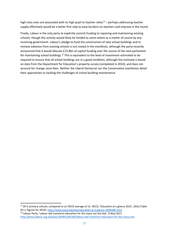high class sizes are associated with its high pupil to teacher ratios<sup>75</sup> – perhaps addressing teacher supply effectively would be a better first step to ease burdens on teachers and improve in the round.

Finally, Labour is the only party to explicitly commit funding to repairing and maintaining existing schools, though this activity would likely be funded to some extent as a matter of course by any incoming government. Labour's pledge to fund the construction of new school buildings and to remove asbestos from existing schools is not costed in the manifesto, although the party recently announced that it would allocate £13.8bn of capital funding over the course of the next parliament for maintaining school buildings.<sup>76</sup> This is equivalent to the level of investment estimated to be required to ensure that all school buildings are in a good condition, although this estimate is based on data from the Department for Education's property survey (completed in 2014), and does not account for change since then. Neither the Liberal Democrat nor the Conservative manifestos detail their approaches to tackling the challenges of school building maintenance.

<sup>&</sup>lt;sup>75</sup> 20 in primary schools, compared to an OECD average of 15. OECD, 'Education at a glance 2016', 2016 (Table D2.2, figures for 2014):<http://www.oecd.org/edu/education-at-a-glance-19991487.htm>  $76$  Labour Party, 'Labour will transform education for the many not the few', 9 May 2017: [http://press.labour.org.uk/post/160492246769/labour-will-transform-education-for-the-many-not.](http://press.labour.org.uk/post/160492246769/labour-will-transform-education-for-the-many-not)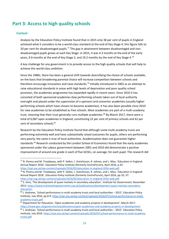# <span id="page-28-0"></span>**Part 3: Access to high quality schools**

# <span id="page-28-1"></span>**Context**

**.** 

Analysis by the Education Policy Institute found that in 2015 only 38 per cent of pupils in England achieved what it considers to be a world-class standard at the end of Key Stage 4; this figure falls to 20 per cent for disadvantaged pupils.<sup>77</sup> The gap in attainment between disadvantaged and nondisadvantaged pupils grows at each Key Stage: in 2015, it was 4.3 months at the end of the early years, 9.6 months at the end of Key Stage 2, and 19.2 months by the end of Key Stage 4.<sup>78</sup>

A key challenge for any government is to provide access to the high quality schools that will help to achieve this world-class ambition.

Since the 1980s, there has been a general shift towards diversifying the choice of schools available, on the basis that broadening parental choice will increase competition between schools and therefore encourage innovation and raise standards.<sup>79</sup> Initially introduced in 2002 as an attempt to raise educational standards in areas with high levels of deprivation and poor quality school provision, the academies programme has expanded rapidly in recent years. Since 2010 it has consisted of both sponsored academies (low performing schools taken out of local authority oversight and placed under the supervision of a sponsor) and converter academies (usually higher performing schools which have chosen to become academies). It has also been possible since 2010 for new academies to be established as free schools. Most academies are part of a multi-academy trust, meaning that their trust generally runs multiple academies.<sup>80</sup> By March 2017, there were a total of 6,087 open academies in England, constituting 22 per cent of primary schools and 62 per cent of secondary schools.<sup>81</sup>

Research by the Education Policy Institute found that although some multi-academy trusts are performing extremely well and have substantially raised outcomes for pupils, others are performing very poorly; the same is true of local authorities. Academisation does not guarantee higher standards.<sup>82</sup> Research conducted by the London School of Economics found that the early academies sponsored under the Labour government between 2001 and 2010 did demonstrate a positive improvement of around one grade in each of five GCSEs, on average, for each pupil. The research did

<sup>77</sup> N. Perera and M. Treadaway, with P. Sellen, J. Hutchinson, R. Johnes, and L. Mao, 'Education in England: Annual Report 2016', Education Policy Institute (formerly CentreForum), April 2016, p.42: [https://epi.org.uk/wp-content/uploads/2016/05/education-in-england-2016-web.pdf.](https://epi.org.uk/wp-content/uploads/2016/05/education-in-england-2016-web.pdf)

<sup>&</sup>lt;sup>78</sup> N. Perera and M. Treadaway, with P. Sellen, J. Hutchinson, R. Johnes, and L. Mao, 'Education in England: Annual Report 2016', Education Policy Institute (formerly CentreForum), April 2016, pp.10, 37: [https://epi.org.uk/wp-content/uploads/2016/05/education-in-england-2016-web.pdf.](https://epi.org.uk/wp-content/uploads/2016/05/education-in-england-2016-web.pdf)

<sup>79</sup> S. Sims, 'The development of quasi-markets in secondary education', Institute for Government, November 2012: [https://www.instituteforgovernment.org.uk/publications/development-quasi-markets-secondary](https://www.instituteforgovernment.org.uk/publications/development-quasi-markets-secondary-education)[education.](https://www.instituteforgovernment.org.uk/publications/development-quasi-markets-secondary-education)

<sup>80</sup> J. Andrews, 'School performance in multi-academy trusts and local authorities - 2015', Education Policy Institute, July 2016, pp.8-9: [https://epi.org.uk/wp-content/uploads/2016/07/school-performance-in-multi](https://epi.org.uk/wp-content/uploads/2016/07/school-performance-in-multi-academy-trusts.pdf)[academy-trusts.pdf.](https://epi.org.uk/wp-content/uploads/2016/07/school-performance-in-multi-academy-trusts.pdf)

 $81$  Department for Education, 'Open academies and academy projects in development', March 2017: [https://www.gov.uk/government/publications/open-academies-and-academy-projects-in-development.](https://www.gov.uk/government/publications/open-academies-and-academy-projects-in-development)

 $82$  J. Andrews, 'School performance in multi-academy trusts and local authorities – 2015', Education Policy Institute, July 2016: [https://epi.org.uk/wp-content/uploads/2016/07/school-performance-in-multi-academy](https://epi.org.uk/wp-content/uploads/2016/07/school-performance-in-multi-academy-trusts.pdf)[trusts.pdf.](https://epi.org.uk/wp-content/uploads/2016/07/school-performance-in-multi-academy-trusts.pdf)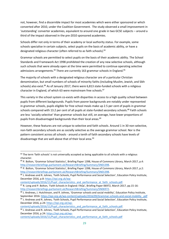not, however, find a discernible impact for most academies which were either sponsored or which converted after 2010, under the Coalition Government. The study observed a small improvement in 'outstanding' converter academies, equivalent to around one grade in two GCSE subjects – around a third of the impact observed in the pre-2010 sponsored academies.

Schools differ not only in terms of their academy or local authority status. For example, some schools specialise in certain subjects, select pupils on the basis of academic ability, or have a designated religious character (often referred to as faith schools).<sup>83</sup>

Grammar schools are permitted to select pupils on the basis of their academic ability. The School Standards and Framework Act 1998 prohibited the creation of any new selective schools, although such schools that were already open at the time were permitted to continue operating selective admissions arrangements.<sup>84</sup> There are currently 163 grammar schools in England.<sup>85</sup>

The majority of schools with a designated religious character are of a particular Christian denomination, but small numbers of schools of minority faiths (including Muslim, Jewish, and Sikh schools) also exist.<sup>86</sup> As of January 2017, there were 6,813 state-funded schools with a religious character in England, of which 63 were mainstream free schools.<sup>87</sup>

This variety in the school system co-exists with disparities in access to a high quality school between pupils from different backgrounds. Pupils from poorer backgrounds are notably under represented in grammar schools, pupils eligible for free school meals make up 2.5 per cent of pupils in grammar schools compared with 13.2 per cent of all pupils at state-funded secondary schools.<sup>88</sup> Faith schools are less 'socially selective' than grammar schools but still, on average, have lower proportions of pupils from disadvantaged backgrounds than their local areas.<sup>89</sup>

However, these features are not unique to selective and faith schools. Around 1 in 30 non-selective, non-faith secondary schools are as socially selective as the average grammar school. Nor is the pattern consistent across all schools - around a tenth of faith secondary schools have levels of disadvantage that are well above that of their local area.<sup>90</sup>

 $\overline{a}$ 

<sup>&</sup>lt;sup>83</sup> The term 'faith schools' is not universally accepted as being applicable to all schools with a religious character.

<sup>84</sup> P. Bolton, 'Grammar School Statistics', Briefing Paper 1398, House of Commons Library, March 2017, p.4: [http://researchbriefings.parliament.uk/ResearchBriefing/Summary/SN01398.](http://researchbriefings.parliament.uk/ResearchBriefing/Summary/SN01398) 

<sup>85</sup> P. Bolton, 'Grammar School Statistics', Briefing Paper 1398, House of Commons Library, March 2017, p.2: [http://researchbriefings.parliament.uk/ResearchBriefing/Summary/SN01398.](http://researchbriefings.parliament.uk/ResearchBriefing/Summary/SN01398)

<sup>86</sup> J. Andrews and R. Johnes, 'Faith Schools, Pupil Performance and Social Selection', Education Policy Institute, December 2016, p.8: [https://epi.org.uk/wp-](https://epi.org.uk/wp-content/uploads/2016/11/Pupil_characteristics_and_performance_at_faith_schools.pdf)

[content/uploads/2016/11/Pupil\\_characteristics\\_and\\_performance\\_at\\_faith\\_schools.pdf.](https://epi.org.uk/wp-content/uploads/2016/11/Pupil_characteristics_and_performance_at_faith_schools.pdf)

<sup>87</sup> R. Long and P. Bolton, 'Faith Schools in England: FAQs', Briefing Paper 06972, March 2017, pp.15-16: [http://researchbriefings.parliament.uk/ResearchBriefing/Summary/SN06972.](http://researchbriefings.parliament.uk/ResearchBriefing/Summary/SN06972)

<sup>88</sup> J. Andrews, J. Hutchinson, and R. Johnes, 'Grammar schools and social mobility', Education Policy Institute, September 2016[: https://epi.org.uk/wp-content/uploads/2016/09/Grammar-schools-and-social-mobility\\_.pdf](https://epi.org.uk/wp-content/uploads/2016/09/Grammar-schools-and-social-mobility_.pdf)

<sup>89</sup> J. Andrews and R. Johnes, 'Faith Schools, Pupil Performance and Social Selection', Education Policy Institute, December 2016, p.24: [https://epi.org.uk/wp-](https://epi.org.uk/wp-content/uploads/2016/11/Pupil_characteristics_and_performance_at_faith_schools.pdf)

[content/uploads/2016/11/Pupil\\_characteristics\\_and\\_performance\\_at\\_faith\\_schools.pdf.](https://epi.org.uk/wp-content/uploads/2016/11/Pupil_characteristics_and_performance_at_faith_schools.pdf)

<sup>90</sup> J. Andrews and R. Johnes, 'Faith Schools, Pupil Performance and Social Selection', Education Policy Institute, December 2016, p.24: [https://epi.org.uk/wp-](https://epi.org.uk/wp-content/uploads/2016/11/Pupil_characteristics_and_performance_at_faith_schools.pdf)

[content/uploads/2016/11/Pupil\\_characteristics\\_and\\_performance\\_at\\_faith\\_schools.pdf](https://epi.org.uk/wp-content/uploads/2016/11/Pupil_characteristics_and_performance_at_faith_schools.pdf)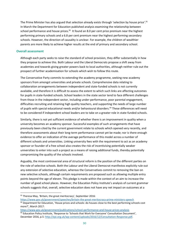The Prime Minister has also argued that selection already exists through 'selection by house price'.<sup>91</sup> In March the Department for Education published analysis examining the relationship between school performance and house prices.<sup>92</sup> It found an 8.0 per cent price premium near the highest performing primary schools and a 6.8 per cent premium near the highest performing secondary schools. However, the direction of causality is unclear. For example, the children of wealthier parents are more likely to achieve higher results at the end of primary and secondary school.

#### <span id="page-30-0"></span>**Overall assessment**

 $\overline{a}$ 

Although each party seeks to raise the standard of school provision, they differ substantially in how they propose to achieve this. Both Labour and the Liberal Democrats propose a shift away from academies and towards giving greater powers back to local authorities, although neither rule out the prospect of further academisation for schools which wish to follow this route.

The Conservative Party commits to extending the academy programme, seeking new academy sponsors from amongst universities and private schools. Comprehensive data relating to collaboration arrangements between independent and state-funded schools is not currently available, and therefore it is difficult to assess the extent to which such links are affecting outcomes for pupils in state-funded schools. School leaders in the state sector tend to face different challenges from those in the independent sector, including under-performance, poor parental engagement, difficulties recruiting and retaining high quality teachers, and supporting the needs of large number of pupils with special educational needs and/or behavioural disorders.<sup>93</sup> These differences will need to be considered if independent school leaders are to take on a greater role in state-funded schools.

Similarly, there is not yet sufficient evidence of whether there is an improvement in quality when a university becomes an academy sponsor. Successful examples of such arrangements that have previously been cited by the current government relate to schools which opened very recently, and therefore assessments about their long-term performance cannot yet be made; nor is there enough evidence to offer an indication of the average performance of this model across a number of different schools and universities. Linking university fees with the requirement to act as an academy sponsor or founder of a free school also creates the risk of incentivising potentially weaker universities to enter into such a project as a means of raising additional funds, thereby potentially compromising the quality of the schools involved.

Arguably, the most controversial area of structural reform is the position of the different parties on the role of selective schools. Both the Labour and the Liberal Democrat manifestos explicitly rule out any extension of selective education, whereas the Conservatives commit to removing the ban on new selective schools, although certain requirements are proposed such as allowing multiple entry points beyond the age of eleven. This pledge is made within the context of an aim to increase the number of good school places. However, the Education Policy Institute's analysis of current grammar schools suggests that, overall, selective education does not have any net impact on outcomes at a

<https://www.gov.uk/government/publications/school-performance-and-house-prices-analysis> 93 Education Policy Institute, 'Response to 'Schools that Work for Everyone' Consultation Document', December 2016, p.5: [http://epi.org.uk/wp-content/uploads/2016/12/Consultation-Response.pdf.](http://epi.org.uk/wp-content/uploads/2016/12/Consultation-Response.pdf)

 $91$  Theresa May, 'Britain, the great meritocracy', September 2016:

<https://www.gov.uk/government/speeches/britain-the-great-meritocracy-prime-ministers-speech>  $92$  Department for Education, 'House prices and schools: do houses close to the best performing schools cost more?', March 2017: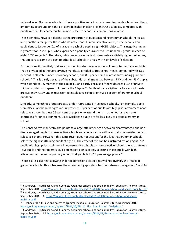national level. Grammar schools do have a positive impact on outcomes for pupils who attend them, amounting to around one-third of a grade higher in each of eight GCSE subjects, compared with pupils with similar characteristics in non-selective schools in comprehensive areas.

These benefits, however, decline as the proportion of pupils attending grammar schools increases and penalties emerge for those who do not attend. In more selective areas, these penalties are equivalent to just under 0.1 of a grade in each of a pupil's eight GCSE subjects. This negative impact is greatest for FSM pupils, who experience a penalty equivalent to just under 0.2 grades in each of eight GCSE subjects.<sup>94</sup> Therefore, whilst selective schools do demonstrate slightly higher outcomes, this appears to come at a cost to other local schools in areas with high levels of selection.

Furthermore, it is unlikely that an expansion in selective education will promote the social mobility that is envisaged in the Conservative manifesto entitled to free school meals, compared with 13.2 per cent in all state funded secondary schools, and 8.9 per cent in the areas surrounding grammar schools.<sup>95</sup> This is partly because of the substantial attainment gap between FSM and non-FSM pupils, which stands at 9.6 months at the age of 11, and partly because of the widespread use of private tuition in order to prepare children for the 11-plus.<sup>96</sup>. Pupils who are eligible for free school meals are currently vastly under-represented in selective schools: only 2.5 per cent of grammar school pupils are

Similarly, some ethnic groups are also under-represented in selective schools. For example, pupils from Black Caribbean backgrounds represent 1.3 per cent of pupils with high prior attainment near selective schools but just 0.5 per cent of pupils who attend them. In other words, even after controlling for prior attainment, Black Caribbean pupils are far less likely to attend a grammar school.

The Conservative manifesto also points to a large attainment gap between disadvantaged and nondisadvantaged pupils in non-selective schools and contrasts this with a virtually non-existent one in selective schools. However, this comparison does not account for the fact that grammar schools select the highest attaining pupils at age 11. The effect of this can be illustrated by looking at FSM pupils with high prior attainment in non-selective schools. In non-selective schools the gap between FSM pupils and their peers is 25.1 percentage points, if only selecting those pupils with high attainment at the end of primary school that gap falls to 7.9 percentage points.<sup>97</sup>

There is a risk also that allowing children admission at later ages will not diversify the intake of grammar schools. This is because the attainment gap widens further between the ages of 11 and 16;

<sup>94</sup> J. Andrews, J. Hutchinson, and R. Johnes, 'Grammar schools and social mobility', Education Policy Institute, September 2016: [https://epi.org.uk/wp-content/uploads/2016/09/Grammar-schools-and-social-mobility\\_.pdf.](https://epi.org.uk/wp-content/uploads/2016/09/Grammar-schools-and-social-mobility_.pdf)  95 J. Andrews, J. Hutchinson, and R. Johnes, 'Grammar schools and social mobility', Education Policy Institute, September 2016, p.6: [https://epi.org.uk/wp-content/uploads/2016/09/Grammar-schools-and-social](https://epi.org.uk/wp-content/uploads/2016/09/Grammar-schools-and-social-mobility_.pdf)mobility .pdf.

<sup>96</sup> R. Johnes, 'The 11-plus and access to grammar schools', Education Policy Institute, December 2016: [https://epi.org.uk/wp-content/uploads/2016/12/EPI\\_11\\_Plus\\_Examination\\_Analysis.pdf.](https://epi.org.uk/wp-content/uploads/2016/12/EPI_11_Plus_Examination_Analysis.pdf)

<sup>97</sup> J. Andrews, J. Hutchinson, and R. Johnes, 'Grammar schools and social mobility', Education Policy Institute, September 2016, p.36: [https://epi.org.uk/wp-content/uploads/2016/09/Grammar-schools-and-social](https://epi.org.uk/wp-content/uploads/2016/09/Grammar-schools-and-social-mobility_.pdf)mobility .pdf.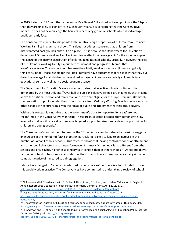in 2015 it stood at 19.2 months by the end of Key Stage 4.<sup>98</sup> If a disadvantaged pupil fails the 11-plus then they are unlikely to gain entry in subsequent years. It is concerning that the Conservative manifesto does not acknowledge the barriers in accessing grammar schools which disadvantaged pupils currently face.

The Conservative manifesto also points to the relatively high proportion of children from Ordinary Working Families in grammar schools. This does not address concerns that children from disadvantaged backgrounds miss out on a place. This is because the Department for Education's definition of Ordinary Working Families identifies in effect the 'average child' – the group occupies the centre of the income distribution of children in maintained schools. Crucially, however, the child of the Ordinary Working Family experiences attainment and progress outcomes that are *above* average. This comes about because the slightly smaller group of children we typically think of as 'poor' (those eligible for the Pupil Premium) have outcomes that are so low that they pull down the average for all children – these disadvantaged children are especially vulnerable in an educational sense as well as in a socio-economic sense.

The Department for Education's analysis demonstrates that selective schools continue to be dominated by the most affluent.<sup>99</sup> Over half of pupils in selective schools are in families with income above the national median and fewer than one in ten are eligible for the Pupil Premium. Ultimately, the proportion of pupils in selective schools that are from Ordinary Working Families being similar to other schools is not surprising given the range of pupils and attainment that this group covers.

Within this context, it is notable that the government's plans for 'opportunity areas' are not reconfirmed in the Conservative manifesto. These areas, selected because they demonstrate low levels of social mobility, are due to receive targeted support to raise standards and opportunities for children and young people.<sup>100</sup>

The Conservative's commitment to remove the 50 per cent cap on faith-based admissions suggests an increase in the number of faith schools (in particular it is likely to lead to an increase in the number of Roman Catholic schools). Our research shows that, having controlled for prior attainment and other pupil characteristics, the performance of primary faith schools is no different from other schools and only slightly higher in secondary faith schools than in other schools.<sup>101</sup> As set out above, faith schools tend to be more socially selective than other schools. Therefore, any small gains would come at the price of increased social segregation.

Labour have pledged to 'require joined-up admissions policies' but there is a lack of detail on how this would work in practice. The Conservatives have committed to undertaking a review of school

[https://epi.org.uk/wp-content/uploads/2016/05/education-in-england-2016-web.pdf.](https://epi.org.uk/wp-content/uploads/2016/05/education-in-england-2016-web.pdf) 99 Department for Education, 'Analysing family circumstances and education', April 2017

**.** 

[https://consult.education.gov.uk/school-leadership-analysis-unit/analysing-family-circumstances-and](https://consult.education.gov.uk/school-leadership-analysis-unit/analysing-family-circumstances-and-education-1/)[education-1/](https://consult.education.gov.uk/school-leadership-analysis-unit/analysing-family-circumstances-and-education-1/)

[content/uploads/2016/11/Pupil\\_characteristics\\_and\\_performance\\_at\\_faith\\_schools.pdf](https://epi.org.uk/wp-content/uploads/2016/11/Pupil_characteristics_and_performance_at_faith_schools.pdf)

<sup>98</sup> N. Perera and M. Treadaway, with P. Sellen, J. Hutchinson, R. Johnes, and L. Mao, 'Education in England: Annual Report 2016', Education Policy Institute (formerly CentreForum), April 2016, p.42:

<sup>100</sup> Department for Education, 'Education Secretary announced 6 new opportunity areas', 18 January 2017: [https://www.gov.uk/government/news/education-secretary-announces-6-new-opportunity-areas.](https://www.gov.uk/government/news/education-secretary-announces-6-new-opportunity-areas)

<sup>101</sup> J. Andrews and R. Johnes, 'Faith Schools, Pupil Performance and Social Selection', Education Policy Institute, December 2016, p.39: [https://epi.org.uk/wp-](https://epi.org.uk/wp-content/uploads/2016/11/Pupil_characteristics_and_performance_at_faith_schools.pdf)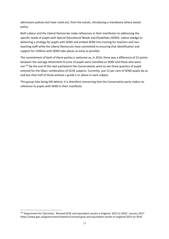admissions policies but have ruled out, from the outset, introducing a mandatory lottery based policy.

Both Labour and the Liberal Democrats make references in their manifestos to addressing the specific needs of pupils with Special Educational Needs and Disabilities (SEND). Labour pledge to delivering a strategy for pupils with SEND and embed SEND into training for teachers and nonteaching staff while the Liberal Democrats have committed to ensuring that identification and support for children with SEND take places as early as possible.

The commitment of both of these parties is welcome as, in 2016, there was a difference of 22 points between the average Attainment 8 score of pupils were classified as SEND and those who were not.<sup>102</sup> By the end of the next parliament the Conservatives want to see three quarters of pupils entered for the EBacc combination of GCSE subjects. Currently, just 12 per cent of SEND pupils do so and less than half of those achieve a grade C or above in each subject.

This group risks being left behind. It is therefore concerning that the Conservative party makes no reference to pupils with SEND in their manifesto.

<sup>102</sup> Department for Education, 'Revised GCSE and equivalent results in England: 2015 to 2016', January 2017 https://www.gov.uk/government/statistics/revised-gcse-and-equivalent-results-in-england-2015-to-2016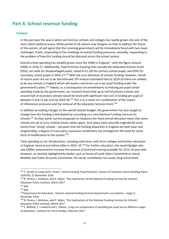# <span id="page-34-0"></span>**Part 4: School revenue funding**

# <span id="page-34-1"></span>**Context**

In the past year the way in which we fund our schools and colleges has rapidly grown into one of the most salient political issues. While parties of all colours may disagree on how to address the future of the system, all will agree that the incoming government will be immediately faced with two major challenges; firstly, responding to the challenge of overall funding pressures, secondly, responding to the problem of how this funding should be allocated across the school system.

Overall school spending has steadily grown since the 1990s in England – with the figure around £40bn in 2016-17. Additionally, Pupil Premium funding from outside the Dedicated Schools Grant (DSG), set aside for disadvantaged pupils, stood at £1,320 for primary school pupils, and £935 for secondary school pupils in 2016-17.<sup>103</sup> With the core allocation of schools funding, however, trends of recent years are set to be discontinued: EPI analysis estimated that by 2019-20 there are unlikely to be any schools in England which will avoid a real terms cut in per pupil funding under the government's plans.<sup>104</sup> Indeed, as a consequence of commitments to freezing per pupil school spending made by the government, our research found that up to half of primary schools and around half of secondary schools would be faced with significant real cuts in funding per pupil of between 6 and 11 per cent by 2019-20.<sup>105</sup> This is as a result of a combination of the impact of inflationary pressures and the removal of the Education Services Grant.<sup>106</sup>

In addition to making changes to the overall schools budget, the government has also sought to change how this funding is distributed by consulting on a new National Funding Formula for schools.<sup>107</sup> As they stand, current proposals to rebalance the fixed overall allocation mean that some schools are set to incur relative losses; others gains. Such plans have naturally engendered some unrest from 'losing' schools - yet given that the funding disparities in England are both clear and longstanding, a degree of cross-party consensus nonetheless has emerged for the need for some form of modification to the system.<sup>108</sup>

Total spending on 16–18 education, including sixth form, sixth form colleges and further education in England, stood at just below £6bn in 2015–16.<sup>109</sup> For further education, the recent Budget also saw £500m announced to increase the amount of technical training available for 16 to 19-year-olds. However, as recently highlighted by bodies such as House of Lords Select Committee on Social Mobility and Public Accounts Committee, the sector nonetheless has acute, long-entrenched

1

<sup>&</sup>lt;sup>103</sup> T. Jarrett, R. Long and D. Foster, 'School funding: Pupil Premium', House of Commons Library Briefing Paper, 16/6700, 21 November 2016

<sup>104</sup> N. Perera, J. Andrews, and P. Sellen, 'The implications of the National Funding Formula for Schools', Education Policy Institute, March 2017

 $105$  ibid

 $106$  ibid

 $107$ Department for Education, 'Schools national funding formula Government consultation – stage 2', December 2016

<sup>108</sup> N. Perera, J. Andrews, and P. Sellen, 'The implications of the National Funding Formula for Schools', Education Policy Institute, March 2017

<sup>&</sup>lt;sup>109</sup> C. Belfield, C. Crawford and L. Sibieta, 'Long-run comparisons of spending per pupil across different stages of education', Institute for Fiscal Studies, February 2017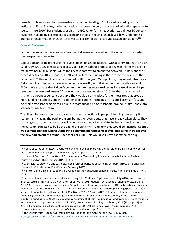financial problems – and has progressively lost out on funding.<sup>110 111</sup> Indeed, according to the Institute for Fiscal Studies, further education 'has been the only major area of education spending to see cuts since 2010'. Per student spending in 1990/91 for further education was almost 50 per cent higher than spending per student in secondary schools - yet since then, levels have undergone a dramatic transformation: in 2015–16 it was 10 per cent lower, at around £5,600 per student.<sup>112</sup>

# <span id="page-35-0"></span>**Overall Asessment**

1

Each of the major parties acknowledges the challenges associated with the school funding system in their respective manifestos.

Labour appears to be promising the biggest boost to school budgets - with a commitment of an extra £6.3bn, by 2021-22, over existing plans. Significantly, Labour propose to reverse the recent cuts to real terms per pupil budgets, which the IFS have forecast to amount to between 6.5 per cent and 8 per cent between 2015-16 and 2019-20, and protect the funding in these terms to the end of the parliament.<sup>113</sup> This would cost an estimated £4.8bn per year. On top of this, they would introduce a "fairer funding formula that leaves no school worse off", with that commitment costing around £300m. **We estimate that Labour's commitment represents a real terms increase of around 6 per**  cent over the next parliament.<sup>114</sup> If we look at the spending since 2015-16, then the increase is smaller, at around 2 per cent per pupil. They would also introduce further measures that provide more funding to schools, but with additional obligations, including an arts pupil premium (£160m), extending free school meals to all pupils in state funded primary schools (around £900m), and extra schools counselling (£90m).<sup>115</sup>

The Liberal Democrats propose to cancel planned reductions in per pupil funding, protecting it in real terms, including the pupil premium, but not to reverse cuts that have already taken place. They have suggested that the increases will amount to around £1bn in 2019-20, but it is unclear how great the costs are expected to be by the end of the parliament, and how they would be financed. **Overall, we estimate that the Liberal Democrat's commitment represents a small real terms increase over the new parliament of around 1 per cent per pupil.** This would still leave estimated per-pupil

<sup>110</sup> House of Lords Committee, 'Overlooked and left behind: improving the transition from school to work for the majority of young people', 16 March 2016, HL Paper 120, 2015-16

<sup>111</sup> House of Commons Committee of Public Accounts, 'Overseeing financial sustainability in the further education sector', 16 December 2015, HC 414, 2015-16

<sup>112</sup> C. Belfield, C. Crawford and L. Sibieta, 'Long-run comparisons of spending per pupil across different stages of education', Institute for Fiscal Studies, February 2017

<sup>113</sup> J. Britton, and L. Sibieta, 'Labour's proposed boost to education spending', Institute for Fiscal Studies, May 2017

<sup>114</sup> Per-pupil funding amounts are calculated using DfE's 'National Pupil Projections: July 2016', and converted into real terms using HMT's GDP Deflator series (March 2017 update). Core schools funding for 2015-16 to 2017-18 is estimated using total Dedicated Schools Grant allocations published by DfE, subtracting early years funding and retained duties ESG for 2017-18. Pupil Premium funding for schools (including special schools) is included from published allocations for 2015-16 and 2016-17, with 2017-18 funding estimated by assuming spending grows in line with school-age children numbers. Based on our understanding of the Labour manifesto, funding in 2021-22 is estimated by assuming that total funding is uprated from 2018-19 to make up for cumulative cost pressures estimated in NAO, 'Financial sustainability of schools', 2016 (Fig. 3, pp15) for 2017-18, and uprating subsequent funding using the GDP Deflator and growth in pupil numbers. NFF protection funding at an assumed cost of £335m is added on top of this in 2021-22.

<sup>115</sup> The Labour Party, 'Labour will transform education for the many not the few', 9 May 2017: [http://press.labour.org.uk/post/160492246769/labour-will-transform-education-for-the-many-not.](http://press.labour.org.uk/post/160492246769/labour-will-transform-education-for-the-many-not)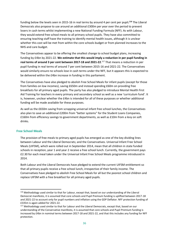funding below the levels seen in 2015-16 in real terms by around 4 per cent per pupil**. <sup>116</sup>** The Liberal Democrats also propose to use around an additional £300m per year over the period to prevent losers in cash terms whilst implementing a new National Funding Formula (NFF). As with Labour, they would extend free school meals to all primary school pupils. They have also committed to ensuring teaching staff have the training to identify mental health issues, although it is unclear whether this cost will be met from within the core schools budget or from planned increases to the NHS and care budget.

The Conservatives appear to be offering the smallest change to school budget plans, increasing funding by £4bn by 2021-22. **We estimate that this would imply a reduction in per pupil funding in real terms of around 3 per cent between 2017-18 and 2021-22**. <sup>117</sup> That means a reduction in per pupil funding in real terms of around 7 per cent between 2015-16 and 2021-22. The Conservatives would similarly ensure no schools lose in cash terms under the NFF, but it appears this is expected to be delivered within the £4bn increase in funding in this parliament.

The Conservatives have also pledged to abolish Free School Meals for infant pupils (except for those from families on low incomes), saving £650m and instead spending £60m on providing free breakfasts for all primary aged pupils. The party has also pledged to introduce Mental Health First Aid Training for teachers in every primary and secondary school as well as a new 'curriculum fund'. It is, however, unclear whether the £4bn is intended for all of these purposes or whether additional funding will be made available for these purposes.

As well as the £650m saving from scrapping universal infant free school lunches, the Conservatives also plan to save an additional £200m from "better systems" for the Student Loans Companies, £160m from efficiency savings to government departments, as well as £10m from a levy on soft drinks.

# <span id="page-36-0"></span>**Free School Meals**

**.** 

The provision of free meals to primary aged pupils has emerged as one of the key dividing lines between Labour and the Liberal Democrats; and the Conservatives. Universal Infant Free School Meals (UIFSM), which were rolled out in September 2014, mean that all children in state funded schools in reception, year 1 and year 2 receive a free school lunch. Currently, the government pays £2.30 for each meal taken under the Universal Infant Free School Meals programme introduced in 2014.

Both Labour and the Liberal Democrats have pledged to extend the current UIFSM entitlement so that all primary pupils receive a free school lunch, irrespective of their family income. The Conservatives have pledged to abolish Free School Meals for all but the poorest school children and replace UIFSM with a free breakfast for all primary aged pupils.

<sup>116</sup> Methodology used similar to that for Labour, except that, based on our understanding of the Liberal Democrat manifesto, it is assumed that core schools and Pupil Premium funding is uplifted between 2017-18 and 2021-22 to account only for pupil numbers and inflation using the GDP Deflator. NFF protection funding of £335m is again added for 2021-22.

<sup>&</sup>lt;sup>117</sup> Methodology used similar to that for Labour and the Liberal Democrats, except that, based on our understanding of the Conservative manifesto, it is assumed that core schools and Pupil Premium funding is increased by £4bn in nominal terms between 2017-18 and 2021-22, and that this includes any funding for NFF protection.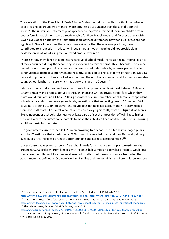The evaluation of the Free School Meals Pilot in England found that pupils in both of the universal pilot areas made around two months' more progress at Key Stage 2 than those in the control areas.<sup>118</sup> The universal entitlement pilot appeared to improve attainment more for children from poorer families (pupils who were already eligible for Free School Meals) and for those pupils with lower levels of prior attainment – although some of these differences between pupil types are not significant. Overall therefore, there was some evidence that the universal pilot may have contributed to a reduction in education inequalities, although the pilot did not provide clear evidence on what was driving the improved productivity in class.

There is stronger evidence that increasing take up of school meals increases the nutritional balance of food consumed during the school day, if not overall dietary patterns. This is because school meals served have to meet prescribed standards in most state-funded schools, whereas packed lunches continue (despite modest improvements recently) to be a poor choice in terms of nutrition. Only 1.6 per cent of primary children's packed lunches meet the nutritional standards set for their classmates eating school lunches, a figure which has barely changed in 10 years. <sup>119</sup>

Labour estimate that extending free school meals to all primary pupils will cost between £700m and £900m annually and propose to fund it through imposing VAT on private school fees which they claim would raise around £1.6bn. <sup>120</sup> Using estimates of current numbers of children in independent schools in UK and current average fee levels, we estimate that subjecting fees to 20 per cent VAT could raise around £1.4bn. However, this figure does not take into account the VAT claimed back from non-staff costs. The overall amount raised could vary significantly from this figure if, as seems likely, independent schools raise fees to at least partly offset the imposition of VAT. These higher fees are likely to encourage some parents to move their children back into the state sector, incurring additional costs for the state.

The government currently spends £650m on providing free school meals for all infant aged pupils and the IFS estimate that an additional £950m would be needed to extend the offer to all primary aged pupils (this includes  $E270m$  of upfront funding and Barnett consequentials).<sup>121</sup>

Under Conservative plans to abolish free school meals for all infant aged pupils, we estimate that around 900,000 children, from families with incomes below median equivalised income, would lose their current entitlement to a free meal. Around two-thirds of these children are from what the government has defined as Ordinary Working Families and the remaining third are children who are

<sup>118</sup> Department for Education, 'Evaluation of the Free School Meals Pilot', March 2012:

[https://www.gov.uk/government/uploads/system/uploads/attachment\\_data/file/184047/DFE-RR227.pdf](https://www.gov.uk/government/uploads/system/uploads/attachment_data/file/184047/DFE-RR227.pdf) <sup>119</sup> University of Leeds, 'Too few school packed lunches meet nutritional standards', September 2016: [https://www.leeds.ac.uk/news/article/3907/too\\_few\\_school\\_packed\\_lunches\\_meet\\_nutritional\\_standards](https://www.leeds.ac.uk/news/article/3907/too_few_school_packed_lunches_meet_nutritional_standards) <sup>120</sup> The Labour Party, Funding Britain's Future, May 2017:

[http://www.labour.org.uk/page/-/PDFs/ONLINE%209660\\_17%20HMT%20Manifesto%20pamphlet%20.pdf](http://www.labour.org.uk/page/-/PDFs/ONLINE%209660_17%20HMT%20Manifesto%20pamphlet%20.pdf) <sup>121</sup> L. Dearden and C. Farquharson, 'Free school meals for all primary pupils: Projections from a pilot', Institute for Fiscal Studies, May 2017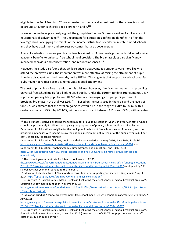eligible for the Pupil Premium.<sup>122</sup> We estimate that the typical annual cost for these families would be around £440 for each child aged between 4 and 7.<sup>123</sup>

However, as we have previously argued, the group identified as Ordinary Working Families are not educationally disadvantaged.<sup>124</sup> The Department for Education's definition identifies in effect the 'average child', occupying the middle of the income distribution of children in state-funded schools and they have attainment and progress outcomes that are above average.

A recent evaluation of a one year trial of free breakfast in 53 disadvantaged schools delivered similar academic benefits to universal free school meal provision. The breakfast clubs also significantly improved behaviour and concentration, and reduced absences. 125

However, the study also found that, while relatively disadvantaged students were more likely to attend the breakfast clubs, the intervention was more effective at raising the attainment of pupils from less disadvantaged backgrounds, unlike UIFSM. This suggests that support for school breakfast clubs might not reduce socio-economic gaps in pupil attainment.

The cost of providing a free breakfast in this trial was, however, significantly cheaper than providing universal free school meals for all infant aged pupils. Under the current funding arrangements, £437 is provided per eligible pupil to fund UIFSM whereas the on-going cost per pupil per year of providing breakfast in the trial was £16.<sup>126 127</sup> Based on the costs used in the trials and the levels of take-up, we estimate that the total on-going cost would be in the range of £70m to £85m, with a central estimate of £75m by 2021-22, with up-front costs of between £11m and £22m, with a central

 $\overline{a}$  $122$  This estimate is derived by taking the total number of pupils in reception, year 1 and year 2 in state-funded schools (approximately 2 million) and applying the proportion of primary school pupils identified by the Department for Education as eligible for the pupil premium but not free school meals (12 per cent) and the proportion in families with income below the national median but not in receipt of the pupil premium (34 per cent). These figures can be found in:

Department for Education, 'Schools, pupils and their characteristics: January 2016', June 2016, Table 1d [https://www.gov.uk/government/statistics/schools-pupils-and-their-characteristics-january-2016;](https://www.gov.uk/government/statistics/schools-pupils-and-their-characteristics-january-2016) and Department for Education, 'Analysing family circumstances and education', April 2017, p.38 [https://consult.education.gov.uk/school-leadership-analysis-unit/analysing-family-circumstances-and](https://consult.education.gov.uk/school-leadership-analysis-unit/analysing-family-circumstances-and-education-1/)[education-1/](https://consult.education.gov.uk/school-leadership-analysis-unit/analysing-family-circumstances-and-education-1/)

<sup>123</sup> The current government rate for infant school meals of £2.30

[<sup>\(</sup>https://www.gov.uk/government/publications/universal-infant-free-school-meals-uifsm-funding-allocations-](https://www.gov.uk/government/publications/universal-infant-free-school-meals-uifsm-funding-allocations-2016-to-2017/universal-infant-free-school-meals-uifsm-conditions-of-grant-2016-to-2017)[2016-to-2017/universal-infant-free-school-meals-uifsm-conditions-of-grant-2016-to-2017\)](https://www.gov.uk/government/publications/universal-infant-free-school-meals-uifsm-funding-allocations-2016-to-2017/universal-infant-free-school-meals-uifsm-conditions-of-grant-2016-to-2017) multiplied by 190 school days per year and rounded to the nearest 0.

<sup>124</sup> Education Policy Institute, 'EPI responds to consultation on supporting 'ordinary working families', April 201[7 https://epi.org.uk/news/ordinary-working-families-consultation/](https://epi.org.uk/news/ordinary-working-families-consultation/)

<sup>&</sup>lt;sup>125</sup> C. Crawford, A. Edwards et al, 'Magic Breakfast: Evaluating the effectiveness of school breakfast provision', Education Endowment Foundation, November 2016:

[https://educationendowmentfoundation.org.uk/public/files/Projects/Evaluation\\_Reports/EEF\\_Project\\_Report](https://educationendowmentfoundation.org.uk/public/files/Projects/Evaluation_Reports/EEF_Project_Report_Magic_Breakfast.pdf) Magic Breakfast.pdf

<sup>126</sup> Education Funding Agency, 'Universal infant free school meals (UIFSM): conditions of grant 2016 to 2017', 7 July 2016:

[https://www.gov.uk/government/publications/universal-infant-free-school-meals-uifsm-funding-allocations-](https://www.gov.uk/government/publications/universal-infant-free-school-meals-uifsm-funding-allocations-2016-to-2017/universal-infant-free-school-meals-uifsm-conditions-of-grant-2016-to-2017)[2016-to-2017/universal-infant-free-school-meals-uifsm-conditions-of-grant-2016-to-2017](https://www.gov.uk/government/publications/universal-infant-free-school-meals-uifsm-funding-allocations-2016-to-2017/universal-infant-free-school-meals-uifsm-conditions-of-grant-2016-to-2017)

<sup>&</sup>lt;sup>127</sup> C. Crawford, A. Edwards et al, 'Magic Breakfast: Evaluating the effectiveness of school breakfast provision', [Education Endowment Foundation, November 2016](https://educationendowmentfoundation.org.uk/public/files/Projects/Evaluation_Reports/EEF_Project_Report_Magic_Breakfast.pdf) (on-going costs of £10.75 per pupil per year plus staff costs of £5.46 per pupil per year)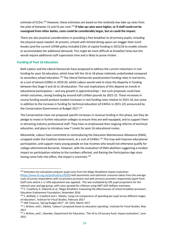estimate of £15m.<sup>128</sup> However, these estimates are based on the relatively low take-up rates from the pilot of between 13 and 52 per cent.<sup>129</sup> If take-up rates were higher, or if staff could not be **reassigned from other duties, costs could be considerably larger, but so could the impact.**

There are also practical considerations in providing a free breakfast to all primary pupils, including the physical space needed. At present, schools with limited dining space can stagger their lunch breaks (and the current UIFSM policy included £10m of capital funding in 2015/16 to enable schools to accommodate the additional demand). This might be more difficult at breakfast times but this would require additional staff supervision time and is likely to prove trickier.

# <span id="page-39-0"></span>**Funding of Post 16 Education**

 $\overline{a}$ 

Both Labour and the Liberal Democrats have proposed to address the current reductions in real funding for post-16 education, which have left the 16 to 18 phase relatively underfunded compared to secondary school education.<sup>130</sup> The Liberal Democrats would protect funding rates in real terms, at a cost of almost £200m in 2019-20, whilst Labour would seek to close the disparity in funding between Key Stage 4 and 16 to 18 education. The cost implications of this depend on trends in educational participation – and any growth in apprenticeships – but such proposals could have similar outcomes, raising funding by around half a billion pounds by 2021-22. These increases in course funding would produce modest increases in real funding rates relative to 2015-16, but come in addition to the increase in funding for technical education (of £445m in 2021-22) announced by the Conservative Government at Budget 2017.<sup>131</sup>

The Conservatives have not proposed specific increases in revenue funding in this phase, but they do pledge to invest in further education colleges to ensure they are well equipped, and to support them in attracting industry professional staff. They have re-emphasised their ongoing reforms of technical education, and plans to introduce new T Levels for post-16 educational routes.

Meanwhile, Labour have committed to reintroducing the Education Maintenance Allowance (EMA), scrapped under the Coalition Government, at a cost of £540m.<sup>132</sup> This may well improve educational participation, and support many young people on low incomes who would not otherwise qualify for college-administered Bursaries. However, with the evaluation of EMA-abolition suggesting a modest impact on participation relative to the numbers affected, and Raising the Participation Age since having come fully into effect, the impact is uncertain.<sup>133</sup>

<sup>&</sup>lt;sup>128</sup> Estimates are calculated using per-pupil costs from the Magic Breakfasts impact evaluation [\(https://www.ifs.org.uk/publications/9202\)](https://www.ifs.org.uk/publications/9202) with pessimistic and optimistic scenarios taken from the average costs of survey respondents with no previous provision and with previous provision respectively (apart from Staff costs where a +/-10% adjustment was applied). This was multiplied by DfE pupil projections for the relevant year and age group, with costs uprated for inflation using HMT GDP deflator estimates.

<sup>&</sup>lt;sup>129</sup> C. Crawford, A. Edwards et al, 'Magic Breakfast: Evaluating the effectiveness of school breakfast provision', Education Endowment Foundation, November 2016

<sup>&</sup>lt;sup>130</sup> C. Belfield, C. Crawford and L. Sibieta, 'Long-run comparisons of spending per pupil across different stages of education', Institute for Fiscal Studies, February 2017

<sup>131</sup> HM Treasury, 'Spring Budget 2017', HC 1025, March 2017

<sup>132</sup> J. Britton, and L. Sibieta, 'Labour's proposed boost to education spending', Institute for Fiscal Studies, May 2017

<sup>133</sup> J. Britton, and L. Dearden, Department for Education, 'The 16 to 19 bursary fund: impact evaluation', June 2015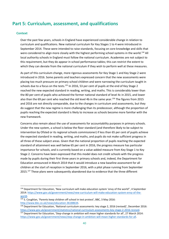# <span id="page-40-0"></span>**Part 5: Curriculum, assessment, and qualifications**

## <span id="page-40-1"></span>**Context**

**.** 

Over the past few years, schools in England have experienced considerable change in relation to curriculum and qualifications. New national curriculum for Key Stages 1 to 4 were introduced in September 2014. These were intended to raise standards, focusing on core knowledge and skills that were considered to align more closely with the highest performing school systems in the world.<sup>134</sup> All local authority schools in England must follow the national curriculum. Academies are not subject to this requirement, but they do appear in school performance tables; this can restrict the extent to which they can deviate from the national curriculum if they wish to perform well at these measures.

As part of this curriculum change, more rigorous assessments for Key Stage 1 and Key Stage 2 were introduced in 2016. Some parents and teachers expressed concern that the new assessments were placing too much pressure on primary school children and were narrowing the curriculum taught in schools due to a focus on the tests.<sup>135</sup> In 2016, 53 per cent of pupils at the end of Key Stage 2 reached the new expected standard in reading, writing, and maths. This is considerably lower than the 80 per cent of pupils who achieved the former national standard of level 4c in 2015, and lower also than the 69 per cent who reached the old level 4b in the same year.<sup>136</sup> The figures from 2015 and 2016 are not directly comparable, due to the changes in curriculum and assessments, but they do suggest that the new regime is more challenging than its predecessor, although the proportion of pupils reaching the expected standard is likely to increase as schools become more familiar with the new framework.

Concerns also remain about the use of assessments for accountability purposes in primary schools. Under the new system, a school is below the floor standard (and therefore likely to be subject to intervention by Ofsted or its regional schools commissioner) if less than 65 per cent of pupils achieve the expected standard in reading, writing, and maths, and pupils do not make sufficient progress in all three of these subject areas. Given that the national proportion of pupils reaching the expected standard of attainment was well below 65 per cent in 2016, the progress measure has particular importance for schools, and is currently based on a value-added measure from Key Stage 1 to Key Stage 2. Concerns have been expressed that this model does not credit schools with the progress made by pupils during their first three years in primary schools and, indeed, the Department for Education announced in March 2014 that it would introduce a new baseline assessment for all children at the start of reception in September 2016, with a pilot phase running from September 2015.<sup>137</sup> These plans were subsequently abandoned due to evidence that the three different

<sup>134</sup> Department for Education, 'New curriculum will make education system 'envy of the world'', 4 September 2014: [https://www.gov.uk/government/news/new-curriculum-will-make-education-system-envy-of-the](https://www.gov.uk/government/news/new-curriculum-will-make-education-system-envy-of-the-world)[world.](https://www.gov.uk/government/news/new-curriculum-will-make-education-system-envy-of-the-world) 

<sup>135</sup> S. Coughlan, 'Parents keep children off school in test protest', BBC, 3 May 2016: [http://www.bbc.co.uk/news/education-36188634.](http://www.bbc.co.uk/news/education-36188634)

<sup>136</sup> Department for Education, 'National curriculum assessments: key stage 2, 2016 (revised)', December 2016: [https://www.gov.uk/government/statistics/national-curriculum-assessments-key-stage-2-2016-revised.](https://www.gov.uk/government/statistics/national-curriculum-assessments-key-stage-2-2016-revised)

<sup>137</sup> Department for Education, 'Step-change in ambition will mean higher standards for all', 27 March 2014: [https://www.gov.uk/government/news/step-change-in-ambition-will-mean-higher-standards-for-all.](https://www.gov.uk/government/news/step-change-in-ambition-will-mean-higher-standards-for-all)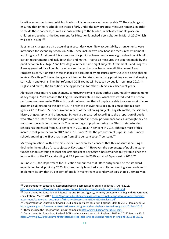baseline assessments from which schools could choose were not comparable.<sup>138</sup> The challenge of ensuring that primary schools are treated fairly under the new progress measure remains. In order to tackle these concerns, as well as those relating to the burdens which assessments place on children and teachers, the Department for Education launched a consultation in March 2017 which will close in June.<sup>139</sup>

Substantial changes are also occurring at secondary level. New accountability arrangements were introduced for secondary schools in 2016. These include two new headline measures: Attainment 8 and Progress 8. Attainment 8 is a measure of a pupil's achievement across eight subjects which fulfil certain requirements and include English and maths. Progress 8 measures the progress made by the pupil between Key Stage 2 and Key Stage 4 in these same eight subjects. Attainment 8 and Progress 8 are aggregated for all pupils in a school so that each school has an overall Attainment 8 and Progress 8 score. Alongside these changes to accountability measures, new GCSEs are being phased in. As at Key Stage 2, these changes are intended to raise standards by providing a more challenging curriculum and exams. The first reformed GCSE exams will be taken by pupils in summer 2017, in English and maths; the transition is being phased in for other subjects in subsequent years.

Alongside these more recent changes, controversy remains about other accountability arrangements at Key Stage 4. Most notably, the English Baccalaureate (EBacc), which was introduced as a school performance measure in 2010 with the aim of ensuring that all pupils are able to access a set of core academic subjects up to the age of 16. In order to achieve the EBacc, pupils must obtain a pass (grades A\* to C) at GCSE or equivalent in each of the following subjects: English, maths, the sciences, history or geography, and a language. Schools are measured according to the proportion of pupils who attain the EBacc and these figures are reported in school performance tables, although they do not count towards floor standards. The percentage of pupils entering the EBacc in state-funded schools has increased from 21.8 per cent in 2010 to 39.7 per cent in 2016, although most of this increase took place between 2012 and 2013. Since 2010, the proportion of pupils in state-funded schools attaining the EBacc has risen from 15.1 per cent to 24.7 per cent.<sup>140</sup>

Many organisations within the arts sector have expressed concern that this measure is causing a decline in the uptake of arts subjects at Key Stage 4.<sup>141</sup> However, the percentage of pupils in statefunded schools entering at least one arts subject at Key Stage 4 has remained fairly stable since the introduction of the EBacc, standing at 47.2 per cent in 2010 and at 48.0 per cent in 2016.<sup>142</sup>

In June 2015, the Department for Education announced that EBacc entry would be the standard expectation for all pupils by 2020. It subsequently launched a consultation seeking views on how to implement its aim that 90 per cent of pupils in mainstream secondary schools should ultimately be

<sup>&</sup>lt;sup>138</sup> Department for Education, 'Reception baseline comparability study published', 7 April 2016, [https://www.gov.uk/government/news/reception-baseline-comparability-study-published.](https://www.gov.uk/government/news/reception-baseline-comparability-study-published)

<sup>139</sup> Department for Education and Standards and Testing Agency, 'Primary assessment in England: Government consultation', March 2017: [https://consult.education.gov.uk/assessment-policy-and-development/primary](https://consult.education.gov.uk/assessment-policy-and-development/primary-assessment/supporting_documents/Primary%20assessment%20in%20England.pdf)[assessment/supporting\\_documents/Primary%20assessment%20in%20England.pdf.](https://consult.education.gov.uk/assessment-policy-and-development/primary-assessment/supporting_documents/Primary%20assessment%20in%20England.pdf)

<sup>140</sup> Department for Education, 'Revised GCSE and equivalent results in England: 2015 to 2016', January 2017: [https://www.gov.uk/government/statistics/revised-gcse-and-equivalent-results-in-england-2015-to-2016.](https://www.gov.uk/government/statistics/revised-gcse-and-equivalent-results-in-england-2015-to-2016) <sup>141</sup> These include the 'Bacc for the Future' campaign: [http://www.baccforthefuture.com/.](http://www.baccforthefuture.com/)

<sup>142</sup> Department for Education, 'Revised GCSE and equivalent results in England: 2015 to 2016', January 2017: [https://www.gov.uk/government/statistics/revised-gcse-and-equivalent-results-in-england-2015-to-2016.](https://www.gov.uk/government/statistics/revised-gcse-and-equivalent-results-in-england-2015-to-2016)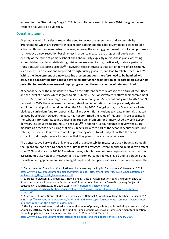entered for the EBacc at Key Stage 4.<sup>143</sup> This consultation closed in January 2016; the government response has yet to be published.

# <span id="page-42-0"></span>**Overall assessment**

**.** 

At primary level, all parties agree on the need to review the assessment and accountability arrangements which are currently in place: both Labour and the Liberal Democrats pledge to take action on this in their manifestos. However, whereas the existing government consultation proposes to introduce a new reception baseline test in order to measure the progress of pupils over the entirety of their time at primary school, the Labour Party explicitly rejects these plans. Assessing young children carries a relatively high risk of measurement error, particularly during a period of transition such as starting school.<sup>144</sup> However, research suggests that certain forms of assessment, such as teacher observations supported by high quality guidance, can lead to reliable measures.<sup>145</sup>. **Whilst the development of a new baseline assessment does therefore need to be handled with care, it is disappointing that Labour have ruled out further examination of its possibilities, given its potential to provide a measure of pupil progress over the entire course of primary school.**

At secondary level, the main debate between the different parties relates to the future of the EBacc and the level of priority which is given to arts subjects. The Conservatives reaffirm their commitment to the EBacc, and set new targets for its extension, although at 75 per cent entry rate by 2022 and 90 per cent by 2025, these represent a slower rate of implementation than the previously stated ambition that all pupils should be taking the EBacc by 2020. Alongside this, the Conservative Party pledges a curriculum fund to support cultural and scientific institutions to create materials that can be used by schools; however, the party has not confirmed the value of this grant. More specifically, the Labour Party commits to introducing an arts pupil premium for primary schools, worth £160m per year. This equates to around £37 per pupil.<sup>146</sup> In addition, Labour pledge to review the EBacc measure as a means of ensuring that arts subjects are a core part of the secondary curriculum. Like Labour, the Liberal Democrats commit to promoting access to arts subjects within the school curriculum, although the exact measures that they plan to use are made less clear.

The Conservative Party is the only one to address accountability measures at Key Stage 3, although their plans are not clear. National curriculum tests at Key Stage 3 were abolished in 2008, with effect from 2009, and since the 2013-14 academic year, schools have not been required to report teacher assessments at Key Stage 3. However, it is clear from outcomes at Key Stage 2 and Key Stage 4 that the attainment gap between disadvantaged pupils and their peers widens substantially between the

<sup>143</sup> Department for Education, 'Consultation on implementing the English Baccalaureate', November 2015: [https://www.gov.uk/government/uploads/system/uploads/attachment\\_data/file/473455/Consultation\\_on\\_i](https://www.gov.uk/government/uploads/system/uploads/attachment_data/file/473455/Consultation_on_implementing_the_English_Baccalaureate.pdf) mplementing the English Baccalaureate.pdf.

<sup>&</sup>lt;sup>144</sup> S. Brogaard Clausen, S. Guimaraes, S. Howe, and M. Cottle, 'Assessment of Young Children on Entry to School: Informative, Formative or Performative?', International Journal for Cross-Disciplinary Subjects in Education, 6:1, March 2015, pp.2120-2125: [http://infonomics-society.org/wp-](http://infonomics-society.org/wp-content/uploads/ijcdse/published-papers/volume-6-2015/Assessment-of-young-children-on-Entry-to-School.pdf)

[content/uploads/ijcdse/published-papers/volume-6-2015/Assessment-of-young-children-on-Entry-to-](http://infonomics-society.org/wp-content/uploads/ijcdse/published-papers/volume-6-2015/Assessment-of-young-children-on-Entry-to-School.pdf)[School.pdf.](http://infonomics-society.org/wp-content/uploads/ijcdse/published-papers/volume-6-2015/Assessment-of-young-children-on-Entry-to-School.pdf)

<sup>&</sup>lt;sup>145</sup> Assessment Review Group, 'Redressing the balance', National Association of Head Teachers, January 2017, p.15: [http://www.naht.org.uk/welcome/news-and-media/key-topics/assessment/assessment-review-group](http://www.naht.org.uk/welcome/news-and-media/key-topics/assessment/assessment-review-group-publishes-report-on-the-future-of-assessment/)[publishes-report-on-the-future-of-assessment/.](http://www.naht.org.uk/welcome/news-and-media/key-topics/assessment/assessment-review-group-publishes-report-on-the-future-of-assessment/)

<sup>&</sup>lt;sup>146</sup> This figure was estimated by dividing the total number of primary school pupils (excluding nursery pupils) as at January 2016 by the total value of the funding. Pupil numbers were taken from: Department for Education, 'Schools, pupils and their characteristics: January 2016', June 2016, Table 1d:

[https://www.gov.uk/government/statistics/schools-pupils-and-their-characteristics-january-2016.](https://www.gov.uk/government/statistics/schools-pupils-and-their-characteristics-january-2016)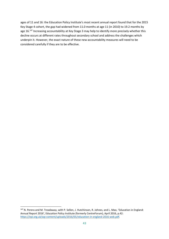ages of 11 and 16: the Education Policy Institute's most recent annual report found that for the 2015 Key Stage 4 cohort, the gap had widened from 11.0 months at age 11 (in 2010) to 19.2 months by age 16.<sup>147</sup> Increasing accountability at Key Stage 3 may help to identify more precisely whether this decline occurs at different rates throughout secondary school and address the challenges which underpin it. However, the exact nature of these new accountability measures will need to be considered carefully if they are to be effective.

**<sup>.</sup>** <sup>147</sup> N. Perera and M. Treadaway, with P. Sellen, J. Hutchinson, R. Johnes, and L. Mao, 'Education in England: Annual Report 2016', Education Policy Institute (formerly CentreForum), April 2016, p.42: [https://epi.org.uk/wp-content/uploads/2016/05/education-in-england-2016-web.pdf.](https://epi.org.uk/wp-content/uploads/2016/05/education-in-england-2016-web.pdf)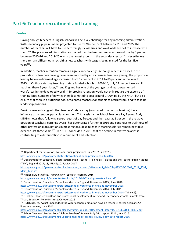# <span id="page-44-0"></span>**Part 6: Teacher recruitment and training**

# <span id="page-44-1"></span>**Context**

 $\overline{a}$ 

Having enough teachers in English schools will be a key challenge for any incoming administration. With secondary pupil numbers projected to rise by 20.6 per cent between 2015 and 2025, the number of teachers will have to rise accordingly if class sizes and workloads are not to increase with them.<sup>148</sup> The previous administration estimated that the teacher headcount would rise by 3 per cent between 2015-16 and 2019-20 – with the largest growth in the secondary sector<sup>149</sup>. Nevertheless there remain difficulties in recruiting new teachers with targets being missed for the last five years<sup>150</sup>.

In addition, teacher retention remains a significant challenge. Although recent increases in the proportion of teachers leaving have been matched by an increase in teachers joining, the proportion leaving before retirement age increased from 65 per cent in 2011 to 80 per cent in the year to 2015.<sup>151</sup> Of those starting teaching in state funded schools in 2009-10, only 72 per cent were still teaching there 5 years later,<sup>152</sup> and England has one of the youngest and least experienced workforces in the developed world.<sup>153</sup> Improving retention would not only reduce the expense of training large numbers of new teachers (estimated to cost around £700m pa by the NAO), but also ensure that there is a sufficient pool of talented teachers for schools to recruit from, and to take up leadership positions.

Previous research suggests that teachers' relative pay (compared to other professions) has an influence on retention, particularly for men.<sup>154</sup> Analysis by the School Teachers Pay Review Body (STRB) shows that, following several years of pay freezes and then caps at 1 per cent, the relative position of teachers' earnings overall has deteriorated further in 2016 and continues to trail those of other professional occupations in most regions, despite gaps in starting salaries remaining stable over the last three years.<sup>155</sup> The STRB concluded in 2016 that the decline in relative salaries is contributing to a deterioration in recruitment and retention.

<sup>148</sup> Department for Education, 'National pupil projections: July 2016', July 2016:

<https://www.gov.uk/government/statistics/national-pupil-projections-july-2016>

<sup>&</sup>lt;sup>149</sup> Department for Education, 'Postgraduate Initial Teacher Training (ITT) places and the Teacher Supply Model (TSM), England 2017/18, SFR 42/2017, May 2017:

https://www.gov.uk/government/uploads/system/uploads/attachment\_data/file/613037/SFR42\_2017\_TSM [Main\\_Text.pdf](https://www.gov.uk/government/uploads/system/uploads/attachment_data/file/613037/SFR42_2017_TSM_Main_Text.pdf)

<sup>150</sup> National Audit Office, *Training New Teachers*, February 2016:

<https://www.nao.org.uk/wp-content/uploads/2016/02/Training-new-teachers.pdf>

<sup>151</sup> Department for Education, 'School workforce in England: November 2015', June 2016: <https://www.gov.uk/government/statistics/school-workforce-in-england-november-2015>

<sup>152</sup> Department for Education, 'School workforce in England: November 2014', July 2015: <https://www.gov.uk/government/statistics/school-workforce-in-england-november-2014> (Table C2).

<sup>&</sup>lt;sup>153</sup> P. Sellen, 'Teacher workload and professional development in England's secondary schools: insights from TALIS', Education Policy Institute, October 2016

<sup>154</sup> Hutchings, M., 'What impact does the wider economic situation have on teachers' career decisions? A literature review', June 2011:

[https://www.gov.uk/government/uploads/system/uploads/attachment\\_data/file/181566/DFE-RR136.pdf](https://www.gov.uk/government/uploads/system/uploads/attachment_data/file/181566/DFE-RR136.pdf) <sup>155</sup> School Teachers' Review Body,' School Teachers' Review Body 26th report: 2016', July 2016: <https://www.gov.uk/government/publications/school-teachers-review-body-26th-report-2016>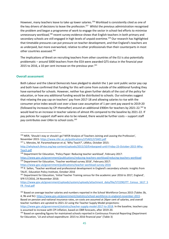However, many teachers leave to take up lower salaries.<sup>156</sup> Workload is consistently cited as one of the key drivers of decisions to leave the profession.<sup>157</sup> Whilst the previous administration recognised the problem and began a programme of work to engage the sector in school-led efforts to minimise unnecessary workload,<sup>158</sup> recent survey evidence shows that English teachers in both primary and secondary schools are still engaged in high levels of unpaid overtime. <sup>159</sup> Our research has highlighted that timetable pressures can put pressure on teacher development, and that England's teachers are as underpaid, but more overworked, relative to other professionals than their counterparts in most other countries assessed.<sup>160</sup>

The implications of Brexit on recruiting teachers from other countries of the EU is also potentially problematic – around 5000 teachers from the EEA were awarded QTS status in the financial year 2015 to 2016, a 10 per cent increase on the previous year. 161

#### <span id="page-45-0"></span>**Overall assessment**

**.** 

Both Labour and the Liberal Democrats have pledged to abolish the 1 per cent public sector pay cap and both have confirmed that funding for this will come from outside of the additional funding they have earmarked for schools. However, neither has given further details of the cost of the policy for education, or how any additional funding would be distributed to schools. Our estimates suggest that relaxing the pay cap on teachers' pay from 2017-18 and allowing salaries to rise with the consumer price index would cost over a base case assumption of 1 per cent pay award to 2019-20 (followed by increases by CPI thereafter) around an additional £900m for teachers by 2021-22.<sup>162</sup> It would lead to an increase in teacher salaries of almost 4% compared to the baseline by 2021-22. If pay policies for support staff were also to be relaxed, there would be further costs – support staff pay contributes over £4bn to school costs. 163

<sup>159</sup> Department for Education, 'Teacher workload survey 2016', February 2017: <https://www.gov.uk/government/publications/teacher-workload-survey-2016>

<sup>156</sup> NfER, 'Should I stay or should I go? NFER Analysis of Teachers Joining and Leaving the Profession', November 2015[: https://www.nfer.ac.uk/publications/LFSA01/LFSA01.pdf](https://www.nfer.ac.uk/publications/LFSA01/LFSA01.pdf)

<sup>157</sup> L. Menzies, M. Parameshwaran et al, 'Why Teach?', LKMco, October 2015:

[http://whyteach.lkmco.org/wp-content/uploads/2015/10/Embargoed-until-Friday-23-October-2015-Why-](http://whyteach.lkmco.org/wp-content/uploads/2015/10/Embargoed-until-Friday-23-October-2015-Why-Teach.pdf)[Teach.pdf](http://whyteach.lkmco.org/wp-content/uploads/2015/10/Embargoed-until-Friday-23-October-2015-Why-Teach.pdf)

<sup>158</sup> Department for Education, 'Policy Paper: Reducing teacher workload', February 2017: <https://www.gov.uk/government/publications/reducing-teachers-workload/reducing-teachers-workload>

<sup>160</sup> P. Sellen, 'Teacher workload and professional development in England's secondary schools: insights from TALIS', Education Policy Institute, October 2016

<sup>161</sup> Department for Education, 'Initial Teacher Training census for the academic year 2016 to 2017, England', SFR 57/2016, 24 November 2016:

[https://www.gov.uk/government/uploads/system/uploads/attachment\\_data/file/572290/ITT\\_Census\\_1617\\_S](https://www.gov.uk/government/uploads/system/uploads/attachment_data/file/572290/ITT_Census_1617_SFR_Final.pdf) [FR\\_Final.pdf](https://www.gov.uk/government/uploads/system/uploads/attachment_data/file/572290/ITT_Census_1617_SFR_Final.pdf)

<sup>&</sup>lt;sup>162</sup> Based on average teacher salaries and numbers reported in the School Workforce Census 2015 (Tables 3b, 4, 9b and 9c): <https://www.gov.uk/government/statistics/school-workforce-in-england-november-2015> . Based on pension and national insurance rates, on-costs are assumed at 26per cent of salaries, and overall teacher numbers are uprated to 2021-22 using the Teacher Supply Model projections:

[https://www.gov.uk/government/statistics/teacher-supply-model-2017-to-2018.](https://www.gov.uk/government/statistics/teacher-supply-model-2017-to-2018) In the baseline, teachers pay is assumed to increase with CPI inflation, based on OBR forecasts, after 2019-20.

<sup>&</sup>lt;sup>163</sup> Based on spending figures for maintained schools reported in Continuous Financial Reporting (Department for Education, 'LA and school expenditure: 2015 to 2016 financial year' (Table 3)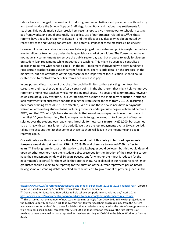Labour has also pledged to consult on introducing teacher sabbaticals and placements with industry and to reintroduce the Schools Support Staff Negotiating Body and national pay settlements for teachers. This would mark a clear break from recent steps to give more power to schools in setting pay frameworks, and could potentially lead to less use of performance-related pay. <sup>164</sup> As these reforms have yet to be properly evaluated – and the effect of pay flexibility has been muted by recent pay caps and funding constraints – the potential impact of these measures is be unclear.

However, it is not only Labour who appear to have judged that centralised policies might be the best way to influence teacher pay under challenging labour market conditions. The Conservatives have not made any commitments to remove the public sector pay cap, but propose to apply forgiveness on student loan repayments while graduates are teaching. This might be seen as a centralised approach to deliver what schools could – in theory – implement if provided with extra funding to raise certain teacher salaries under current flexibilities. There is little detail on this proposal in the manifesto, but one advantage of this approach for the Department for Education is that it could enable them to control who benefits from a net increase in pay.

In one potential incarnation of this, the offer could be limited to those starting their teaching careers, or their teacher training, after a certain point. In the short term, that might help to improve retention among new teachers whilst minimising total costs. The costs and commitments, however, could escalate quickly over time. To illustrate this, we estimate the short term reduction in student loan repayments for successive cohorts joining the state sector to teach from 2019-20 (assuming only those training from 2018-19 are affected). We assume these new joiners have repayments waived on any existing student loans, including those for undergraduate degrees obtained before a PGCE, and that 70% of NQTs have student debts that would imply repayments over the course of their first 10 years in teaching, The loan repayments foregone are equal to 9 per cent of teacher salaries over the student loan repayment threshold for new loans (currently £21,000, but assumed to be rising with earnings later in the period). We trace the lost repayments over a 10 year period, taking into account the fact that some of these teachers will leave in the meantime and begin repaying again.

**Our estimates for this scenario are that the annual cost of this policy in terms of repayments foregone would start at less than £10m in 2019-20, and then rise to around £160m after ten years**. <sup>165</sup> The long term impact of this policy to the Exchequer could be lower, but this would depend upon whether teachers have their student debts preserved for the duration of their teaching career, have their repayment window of 30 years paused, and/or whether their debt is reduced (at the government's expense) for them while they are teaching. As explained in our recent research, most graduates should expect to be repaying for the duration of the 30 year repayment period before having some outstanding debts cancelled, but the net cost to government of providing loans in the

[<sup>\(</sup>https://www.gov.uk/government/statistics/la-and-school-expenditure-2015-to-2016-financial-year\)](https://www.gov.uk/government/statistics/la-and-school-expenditure-2015-to-2016-financial-year), uprated to include academies using School Workforce Census teacher numbers.

<sup>164</sup> Department for Education, 'New advice to help schools set performance-related pay', April 2013: <https://www.gov.uk/government/news/new-advice-to-help-schools-set-performance-related-pay>

<sup>&</sup>lt;sup>165</sup> This assumes that the number of new teachers joining as NQTs from 2019-20 is in line with projections in the Teacher Supply Model 2017-18, that over the first ten years teachers progress in pay from the current average salaries for under-25s to those for 30-34s, that all salaries are uprated at the rate of average economywide earnings based on OBR forecasts after 2019-20, and that retention rates over the first 10 years of teaching careers are equal to those reported for teachers starting in 2005-06 in the School Workforce Census 2014.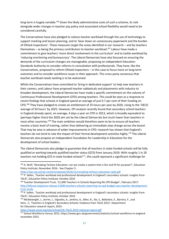long term is hugely variable.<sup>166</sup> Given the likely administrative costs of such a scheme, its role alongside wider changes in teacher pay policy and associated school flexibility would need to be considered carefully.

The Conservatives have also pledged to reduce teacher workload through the use of technology to support marking and lesson planning, and to 'bear down on unnecessary paperwork and the burden of Ofsted inspections'. These measures target the areas identified in our research – and by teachers themselves – as being the primary contributors to teacher workload.<sup>167</sup> Labour have made a commitment to give teachers 'more direct involvement in the curriculum' and to tackle workload by 'reducing monitoring and bureaucracy'. The Liberal Democrats have also focused on ensuring the demands of the curriculum changes are manageable, proposing an independent Education Standards Authority to consider reforms in consultation with professionals. They have, like the Conservatives, proposed to reform Ofsted inspections – in this case to focus more on long-term outcomes and to consider workforce issues in their approach. This cross-party consensus that teacher workload needs tackling is to be welcomed.

Whilst the Conservatives have committed to 'bring in dedicated support' to help new teachers in their careers, and Labour have proposed teacher sabbaticals and placements with industry to broaden development, the Liberal Democrats have made a specific commitment on the volume of Continuous Professional Development (CPD) among teachers. This could be seen as a response to recent findings that schools in England spend an average of just 0.7 per cent of their funding on CPD.<sup>168</sup> They have pledged to create an entitlement of 25 hours per year by 2020, rising to the 'OECD average of 50 hours' by 2025. However, EPI analysis recently found that secondary school teachers in England already spent, on average, 4 days a year on CPD in 2013, which is broadly equivalent to (perhaps higher than) the 2020 aim set by the Liberal Democrats but much lower than teachers in most other countries.<sup>169</sup> The main ambition would therefore seem to be to ensure all teachers receive a basic level of training, rather than delivering an immediate step change across the board. That may be wise in advance of wider improvements in CPD: research has shown that England's teachers do not tend to rate the impact of their formal development activities highly.<sup>170</sup> The Liberal Democrats also propose an Independent Foundation for Leadership in Education for the development of school leaders.

The Liberal Democrats also pledge to guarantee that all teachers in state-funded schools will be fully qualified or working towards qualified teacher status (QTS) from January 2019. With roughly 1 in 20 teachers not holding QTS in state funded schools $^{171}$ , this could represent a significant challenge for

```
https://epi.org.uk/wp-content/uploads/2016/11/remaking-tertiary-education-web.pdf
```
<https://www.oecd.org/edu/school/UK-TALIS-2013-national-report.pdf>

1

<sup>166</sup> A. Wolf, 'Remaking Tertiary Education: can we create a system that is fair and fit for purpose?'*,* Education Policy Institute, November 2016 - See Chapter 5:

<sup>&</sup>lt;sup>167</sup> P. Sellen, 'Teacher workload and professional development in England's secondary schools: insights from TALIS', Education Policy Institute, October 2016

<sup>168</sup> Teacher Development Trust, '21,000 Teachers In Schools Reporting No CPD Budget', February 2017: [http://tdtrust.org/press-release-21000-teachers-schools-reporting-no-cpd-budget-says-teacher-development](http://tdtrust.org/press-release-21000-teachers-schools-reporting-no-cpd-budget-says-teacher-development-trust-study)[trust-study](http://tdtrust.org/press-release-21000-teachers-schools-reporting-no-cpd-budget-says-teacher-development-trust-study)

<sup>&</sup>lt;sup>169</sup> P. Sellen, 'Teacher workload and professional development in England's secondary schools: insights from TALIS', Education Policy Institute, October 2016

<sup>170</sup> Micklewright, J., Jerrim, J., Vignoles, A., Jenkins, A., Allen, R., Ilie, S., Bellarbre, E., Barrera, F., and Hein, .C, 'Teachers in England's Secondary Schools: Evidence from TALIS 2013', Department for Education research report, 2014:

<sup>171</sup> School Workforce Census 2015, https://www.gov.uk/government/statistics/school-workforce-in-englandnovember-2015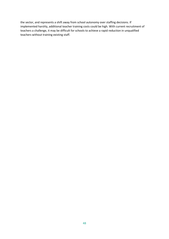the sector, and represents a shift away from school autonomy over staffing decisions. If implemented harshly, additional teacher training costs could be high. With current recruitment of teachers a challenge, it may be difficult for schools to achieve a rapid reduction in unqualified teachers without training existing staff.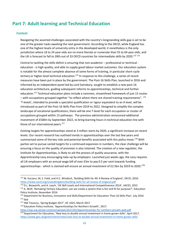# <span id="page-49-0"></span>**Part 7: Adult learning and Technical Education**

## <span id="page-49-1"></span>**Context**

**.** 

Navigating the assorted challenges associated with the country's longstanding skills gap is set to be one of the greater tasks awaiting the next government. According to the OECD, while England has one of the highest levels of university entry in the developed world, it nonetheless is the only jurisdiction where 16 to 24 year-olds are no more literate or numerate than 55 to 64 year-olds, and the UK is forecast to fall to 28th out of 33 OECD countries for intermediate skills by 2020.<sup>172 173</sup>

Central to tackling the skills deficit is ensuring that non-academic – professional or technical education - is high quality, and able to supply good labour market outcomes. Our education system is notable for the almost complete absence of some forms of training, in particular short-cycle tertiary or higher-level technical education.<sup>174</sup> In response to this challenge, a series of recent measures have been put in place by the government. The Post-16 Skills Plan, launched in 2016 and informed by an independent panel led by Lord Sainsbury, sought to establish a new post-16 education architecture, guiding subsequent reforms to apprenticeships, technical and further education.<sup>175</sup> Technical education plans include a common, streamlined framework of just 15 routes – with occupations grouped together "to reflect where there are shared training requirements".  $^{176}$ 'T-levels', intended to provide a specialist qualification or rigour equivalent to an A level, will be introduced as part of the Post-16 Skills Plan from 2019 to 2022. Designed to simplify the complex landscape of vocational qualifications, there will be one T-level for each occupation or cluster of occupations grouped within 15 pathways. The previous administration announced additional investment of £500m by September 2022, to bring learning hours in technical education line with those of our international peers.<sup>177</sup>

Existing targets for apprenticeships stand at 3 million starts by 2020, a significant increase on recent levels. Our recent research has outlined trends in apprenticeships over the last few years and summarised some of the key risks and potential benefits associated with this policy move.<sup>178</sup> With parties set to pursue varied targets for a continued expansion in numbers, the clear challenge will be ensuring a focus on the quality of provision is also retained. The creation of a new regulator, the Institute for Apprenticeships, is likely to aid the process of quality assurance, with the Apprenticeship Levy encouraging take-up by employers. Launched just weeks ago, the Levy requires all UK employers with an annual wage bill of over £3m to pay 0.5 per cent towards funding apprenticeships - which is claimed will ensure an annual investment of £2.5bn by 2019 to 2020.<sup>179</sup>

<sup>172</sup> M. Kuczera, M, S. Field, and H.C. Windisch, 'Building Skills for All: A Review of England', OECD, 2016: <https://www.oecd.org/unitedkingdom/building-skills-for-all-review-of-england.pdf>

<sup>173</sup> D.L. Bosworth, and A. Leach, 'UK Skill Levels and International Competitiveness 2014', UKCES, 2015

<sup>&</sup>lt;sup>174</sup> A. Wolf, 'Remaking Tertiary Education: can we create a system that is fair and fit for purpose?', Education Policy Institute, November 2016

<sup>175</sup> Department for Business, Innovation and Skills/Department for Education 'Post-16 Skills Plan', July 2016  $176$  ibid

<sup>177</sup> HM Treasury, 'Spring Budget 2017', HC 1025, March 2017

<sup>178</sup> Education Policy Institute, 'Apprenticeships for Northern Growth', 2017:

<https://epi.org.uk/wp-content/uploads/2017/02/Apprenticeships-for-northern-growth-web.pdf> <sup>179</sup> Department for Education, 'New levy to double annual investment in home-grown skills', April 2017: <https://www.gov.uk/government/news/new-levy-to-double-annual-investment-in-home-grown-skills>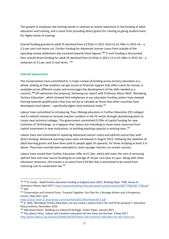This growth in employer-led training stands in contrast to recent reductions in the funding of adult education and training, and a move from providing direct grants for training to giving student loans for higher levels of training.

Overall funding granted to adult FE declined from £3.91bn in 2011-2012 to £3.74bn in 2015-16 – a 5.3 per cent real terms cut. Further funding for Advanced Learner Loans from outside of the spending review settlement also counted towards these figures.<sup>180</sup> If such funding is discounted, then overall direct funding for adult FE declined from £3.91bn in 2011-12 to £3.24bn in 2015-16 – a reduction of 21 per cent in real terms. <sup>181</sup>

# <span id="page-50-0"></span>**Overall assessment**

**.** 

The Conservatives have committed to 'a major review of funding across tertiary education as a whole, looking at how students can get access to financial support that offers value for money, is available across different routes and encourages the development of the skills needed as a country'*.* **<sup>182</sup>** EPI welcomes this proposal, following our report with Professor Alison Wolf, 'Remaking Tertiary Education', which showed that imbalances in our education funding system have skewed training towards qualifications that may not be as valuable as those that other countries have developed much better - specifically higher level technical study.<sup>183</sup>

Labour have committed to introducing 'free, lifelong education in Further Education (FE) colleges' and to redirect money to increase teacher numbers in the FE sector through abandoning plans to create new technical colleges. The government committed £170m of capital funding for new Institutes of Technology, so it appears that Labour are intending to move some resources from capital investment in new institutions, to building teaching capacity in existing ones.<sup>184</sup>

Labour have also committed to replacing Advanced Learner Loans and upfront course fees with direct funding. Advanced Learning Loans were introduced in August 2013, following the abolition of adult learning grants and have been paid to people aged 24 upwards, for those studying at level 3 or above. They have recently been extended to cover younger learners on certain courses.

Labour have costed their Further Education offer at £1.5bn, which will cover the cost of removing upfront fees and raise course funding by an average of 10 per cent year on year. Along with other education measures, this money is to come from £19.4bn that is estimated to be raised from reversing cuts to corporation tax.<sup>185</sup>

<https://s3.eu-west-2.amazonaws.com/manifesto2017/Manifesto2017.pdf>

184 HM Government, 'Building our Industrial Strategy', Green Paper, January 2017

<sup>180 180</sup> D. Foster, 'Adult further education funding in England since 2010', Briefing Paper 7708, House of Commons Library, April 2017[: http://researchbriefings.files.parliament.uk/documents/CBP-7708/CBP-7708.pdf](http://researchbriefings.files.parliament.uk/documents/CBP-7708/CBP-7708.pdf)  $181$  ihid

<sup>&</sup>lt;sup>182</sup> Conservative and Unionist Party, 'Forward Together: Our Plan for a Stronger Britain and a Prosperous Future', May 2017, p53:

<sup>&</sup>lt;sup>183</sup> A. Wolf, 'Remaking Tertiary Education: can we create a system that is fair and fit for purpose?', Education Policy Institute, November 2016

<sup>&</sup>lt;sup>185</sup> The Labour Party, 'Labour will transform education for the many not the few', 9 May 2017: [http://press.labour.org.uk/post/160492246769/labour-will-transform-education-for-the-many-not.](http://press.labour.org.uk/post/160492246769/labour-will-transform-education-for-the-many-not)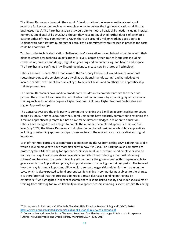The Liberal Democrats have said they would 'develop national colleges as national centres of expertise for key sectors, such as renewable energy, to deliver the high-level vocational skills that businesses need'. The Party has also said it would aim to meet all basic skills needs including literacy, numeracy and digital skills by 2030, although they have not published further details of estimated cost for either of these commitments. Given there are around 9 million working aged adults in England with poor literacy, numeracy or both, if this commitment were realised in practice the costs could be enormous.<sup>186</sup>

Turning to the technical education challenge, the Conservatives have pledged to continue with their plans to create new technical qualifications (T-levels) across fifteen routes in subjects including construction, creative and design, digital, engineering and manufacturing, and health and science. The Party has also confirmed it will continue plans to create new Institutes of Technology.

Labour has said it shares 'the broad aims of the Sainsbury Review but would ensure vocational routes incorporate the service sector as well as traditional manufacturing' and has pledged to increase capital investment to equip colleges to deliver T-levels and an official pre-apprenticeship trainee programme.

The Liberal Democrats have made a broader and less detailed commitment than the other two parties. They commit to address the lack of advanced technicians – by expanding higher vocational training such as foundation degrees, Higher National Diplomas, Higher National Certificates and Higher Apprenticeships.

The Conservatives are the only party to commit to retaining the 3 million apprenticeships for young people by 2020. Neither Labour nor the Liberal Democrats have explicitly committed to retaining the 3 million apprenticeship target but both have made different pledges in relation to education: Labour have pledged to set a target to double the number of completed apprenticeships at NVQ level 3 by 2022; the Liberal Democrats to double the number of businesses which hire apprentices, including by extending apprenticeships to new sectors of the economy such as creative and digital industries.

Each of the three parties have committed to maintaining the Apprenticeship Levy. Labour has said it would allow employers to have more flexibility in how it is used. The Party has also committed to protecting the £440m funding for apprenticeships for small-and medium-sized employers who do not pay the Levy. The Conservatives have also committed to introducing a 'national retraining scheme' and have said the costs of training will be met by the government, with companies able to gain access to the Apprenticeship Levy to support wage costs during the training period. The issue of how the Levy is spent is important. Allowing it to support wages risks adding further strain on the Levy, which is also expected to fund apprenticeship training in companies not subject to the charge. It is therefore vital that the proposals do not as a result decrease spending on training by employers.<sup>187</sup> As highlighted in recent research, there is some risk to quality and wider social aims of training from allowing too much flexibility in how apprenticeships funding is spent, despite this being

<sup>186</sup> M. Kuczera, S. Field and H.C. Windisch, 'Building Skills for All: A Review of England', OECD, 2016: <https://www.oecd.org/unitedkingdom/building-skills-for-all-review-of-england.pdf>

<sup>187</sup> Conservative and Unionist Party, 'Forward, Together: Our Plan for a Stronger Britain and a Prosperous Future: The Conservative and Unionist Party Manifesto 2017'*,* May 2017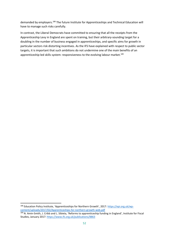demanded by employers.<sup>188</sup> The future Institute for Apprenticeships and Technical Education will have to manage such risks carefully.

In contrast, the Liberal Democrats have committed to ensuring that all the receipts from the Apprenticeship Levy in England are spent on training, but their arbitrary-sounding target for a doubling in the number of business engaged in apprenticeships, and specific aims for growth in particular sectors risk distorting incentives. As the IFS have explained with respect to public sector targets, it is important that such ambitions do not undermine one of the main benefits of an apprenticeship-led skills system: responsiveness to the evolving labour market.<sup>189</sup>

<sup>188</sup> Education Policy Institute, 'Apprenticeships for Northern Growth', 2017: [https://epi.org.uk/wp](https://epi.org.uk/wp-content/uploads/2017/02/Apprenticeships-for-northern-growth-web.pdf)[content/uploads/2017/02/Apprenticeships-for-northern-growth-web.pdf](https://epi.org.uk/wp-content/uploads/2017/02/Apprenticeships-for-northern-growth-web.pdf)

<sup>189</sup> N. Amin-Smith, J. Cribb and L. Sibieta, 'Reforms to apprenticeship funding in England', Institute for Fiscal Studies, January 2017:<https://www.ifs.org.uk/publications/8863>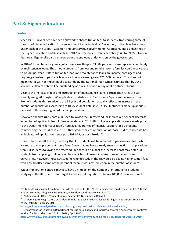# <span id="page-53-0"></span>**Part 8: Higher education**

# <span id="page-53-1"></span>**Context**

**.** 

Since 1998, universities have been allowed to charge tuition fees to students, transferring some of the cost of higher education from government to the individual. Since then, tuition fees have risen under each of the Labour, Coalition and Conservative governments. At present, and as enshrined in the Higher Education and Research Act 2017, universities currently can charge up to £9,250. Tuition fees are still generally paid by income-contingent loans underwritten by the government.

In 2016-17 maintenance grants (which were worth up to £3,387 per year) were replaced completely by maintenance loans. The amount students from low and middle income families could receive rose to £8,200 per year.<sup>190</sup> Both tuition fee loans and maintenance loans are income-contingent and require graduates to pay back fees once they are earning over £21, 000 per year. This does not mean that it will not impact public sector debt. The National Audit Office estimate that by 2042 around £200bn of debt will be outstanding as a result of non-repayment on student loans. <sup>191</sup>

Despite the increase in fees and introduction of maintenance loans, participation rates are still steadily rising. Although UCAS applications statistics in 2017-18 saw a 5 per cent decrease from 'Home' students this, relative to the 18 year old population, actually reflects an increase in the number of applications. According to HESA student data, in 2014/15 EU students made up about 5.5 per cent of this rising higher education population.

However, the first UCAS data published following the EU referendum showed a 7 per cent decrease in number of applicants from EU member states in 2017-18.<sup>192</sup> These applications were made prior to the Department for Education's April 2017 guarantee of financial support for EU students commencing their studies in 2018-19 throughout the entire duration of those studies, and could be an indicator of application trends post 2018-19, or post-Brexit.<sup>193</sup>

Once Britain has left the EU, it is likely that EU students will be required to pay overseas fees, which are more than triple current home fees. Given that we have already seen a reduction in applications from EU students following the referendum, there is a risk that the increased cost may deter EU students from applying to UK universities, which could result in a loss of revenue for those universities. However, those EU students who do study in the UK would be paying higher tuition fees which could offset some of the potential revenue loss any reduction in the number of students.

Wider immigration controls may also have an impact on the number of international students studying in the UK. The current target to reduce net migration to below 100,000 includes non-EU

```
https://www.gov.uk/government/news/government-confirms-funding-for-eu-students-for-2018-to-2019
```
<sup>&</sup>lt;sup>190</sup> Students living away from home outside of London for the 2016/17 academic could receive up £8, 200. The amount students living away from home, in London could receive was £10, 702.

<sup>&</sup>lt;sup>191</sup> National Audit Office, 'Student loan repayments', November 2013 pg:4

<sup>&</sup>lt;sup>192</sup> G. Dominguez-Reig, 'Latest UCAS data signals the post-Brexit challenges for higher education', Education Policy Institute, February 2017:

<https://epi.org.uk/analysis/latest-ucas-data-signals-post-brexit-challenges-higher-education/>

<sup>193</sup> Department for Education/Department for Business, Energy and Industrial Strategy, 'Government confirms funding for EU students for 2018 to 2019', April 2017: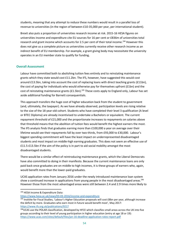students, meaning that any attempt to reduce these numbers would result in a parallel loss of revenue to universities (in the region of between £10-35,000 per year, per international student).

Brexit also puts a proportion of universities research income at risk. 2015-16 HESA figures on universities income and expenditure cite EU sources for 16 per cent or £836m of universities total research and grant income which accounts for 2.5 per cent of their total income.<sup>194</sup> However this does not give us a complete picture as universities currently receive other research income as an indirect benefit of EU membership. For example, a grant giving body may necessitate the university operates in an EU member state to qualify for funding.

# <span id="page-54-0"></span>**Overall Assessment**

Labour have committed both to abolishing tuition fees entirely and to reinstating maintenance grants which they state would cost £11.2bn. The IFS, however, have suggested this would cost around £13.5bn, taking into account the cost of replacing loans with direct teaching grants (£11bn), the cost of paying for individuals who would otherwise pay for themselves upfront (£1bn) and the cost of reinstating maintenance grants (£1.5bn).<sup>195</sup> These costs apply to England only, Labour has set aside additional funding for Barnett consequentials.

This approach transfers the huge cost of higher education back from the student to government (and, ultimately, the taxpayer). As we have already observed, participation levels are rising relative to the size of the 18 year-old cohort. Students who have completed their level 3 qualification (A level or BTEC Diploma) are already incentivised to undertake a Bachelors or equivalent. The current repayment threshold of £21,000 and the proportionate increases to repayments on salaries above that threshold means that the abolition of tuition fees would benefit the highest earners the most. The IFS analysis finds that graduates earning more than £100,000 a year on average over their lifetime would see their repayments fall by over two-thirds, from £93,000 to £30,000. Labour's biggest spending commitment will have the least impact on underrepresented disadvantaged students and most impact on middle-high earning graduates. This does not seem an effective use of £11.5-£13.5bn if the aim of the policy is in part to aid social mobility amongst the most disadvantaged students.

There would be a similar effect of reintroducing maintenance grants, which the Liberal Democrats have also committed to doing in their manifesto. Because the current maintenance loans are only paid back once graduates are on middle to high incomes, it is these groups of earners who, again, would benefit more than the lower-paid graduates.

UCAS application rates from January 2016 under the newly introduced maintenance loan system show a continued increase in applications from young people in the most disadvantaged areas.<sup>196</sup> However those from the most advantaged areas were still between 2.4 and 2.9 times more likely to

**.** 194 HESA Income & Expenditure Data:

<https://www.hesa.ac.uk/news/03-03-2016/income-and-expenditure>

<sup>&</sup>lt;sup>195</sup> Institite for Fiscal Studies, 'Labour's Higher Education proposals will cost £8bn per year, although increase the deficit by more. Graduates who earn most in future would benefit most', May 2017: <https://www.ifs.org.uk/publications/9217>

<sup>196</sup>UCAS use the POLAR classification, developed by HFCE which classifies small areas across the UK into five groups according to their level of young participation in higher education (entry at age 18 or 19): <https://www.ucas.com/sites/default/files/jan-16-deadline-application-rates-report.pdf>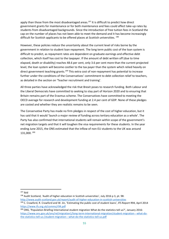apply than those from the most disadvantaged areas.<sup>197</sup> It is difficult to predict how direct government grants for maintenance or for both maintenance and fees could affect take-up rates by students from disadvantaged backgrounds. Since the introduction of free tuition fees in Scotland the cap on the number of places has not been able to meet the demand and it has become increasingly difficult for Scottish applicants to be offered places at Scottish universities. 198

However, these policies reduce the uncertainty about the current level of risks borne by the government in relation to student loan repayment. The long term public cost of the loan system is difficult to predict, as repayment rates are dependent on graduate earnings and effective debt collection, which itself has cost to the taxpayer. If the amount of debt written off (due to time elapsed, death or disability) reaches 48.6 per cent, only 3.6 per cent more than the current projected level, the loan system will become costlier to the tax payer than the system which relied heavily on direct government teaching grants.<sup>199</sup> This extra cost of non-repayment has potential to increase further under the conditions of the Conservatives' commitment to debt collection relief to teachers, as detailed in the section on 'Teacher recruitment and training'.

All three parties have acknowledged the risk that Brexit poses to research funding. Both Labour and the Liberal Democrats have committed to seeking to stay part of Horizon 2020 and to ensuring that Britain remains part of the Erasmus scheme. The Conservatives have committed to meeting the OECD average for research and development funding at 2.4 per cent of GDP. None of these pledges are costed and whether they are realistic remains to be seen.

The Conservative Party has made no firm pledges in respect of the cost of higher education, but it has said that it would 'launch a major review of funding across tertiary education as a whole'. The Party has also confirmed that international students will remain within scope of the government's net migration targets and that it will toughen the visa requirements for these students. In the year ending June 2015, the ONS estimated that the inflow of non-EU students to the UK was around 131,000. 200

<sup>197</sup> Ibid

<sup>198</sup> Audit Scotland, 'Audit of higher education in Scottish universities', July 2016 p 3, pt. 98:

<http://www.audit-scotland.gov.uk/report/audit-of-higher-education-in-scottish-universities>

<sup>&</sup>lt;sup>199</sup> C. Crawford, R. Crawford and W. Jin, 'Estimating the public cost of student loans', IFS Report R94, April 2014 <https://www.ifs.org.uk/comms/r94.pdf>

<sup>&</sup>lt;sup>200</sup> ONS, 'Population Briefing International student migration What do the statistics tell us?', January 2016: [https://www.ons.gov.uk/ons/rel/migration1/long-term-international-migration/student-migration---what-do](https://www.ons.gov.uk/ons/rel/migration1/long-term-international-migration/student-migration---what-do-the-statistics-tell-us-/student-migration---what-do-the-statistics-tell-us.pdf)[the-statistics-tell-us-/student-migration---what-do-the-statistics-tell-us.pdf](https://www.ons.gov.uk/ons/rel/migration1/long-term-international-migration/student-migration---what-do-the-statistics-tell-us-/student-migration---what-do-the-statistics-tell-us.pdf)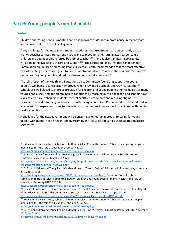# <span id="page-56-0"></span>**Part 9: Young people's mental health**

## <span id="page-56-1"></span>**Context**

**.** 

Children and Young People's mental health has grown considerably in prominence in recent years and is now firmly on the political agenda.

A key challenge for the next government is to address the 'treatment gap' that currently exists. Many specialist services are currently struggling to meet demand, turning away 23 per cent of children and young people referred by a GP or teacher.<sup>201</sup> There is also significant geographical variation in the availability of care and support.<sup>202</sup> The Education Policy Institute's Independent Commission on Children and Young People's Mental Health recommended that the most effective way of meeting these challenges is to direct investment into early intervention, in order to improve outcomes for young people and reduce demand on specialist services.<sup>203</sup>

The joint report of the Health and Education Select Committee found that support for young people's wellbeing is considerably improved when provided by schools and CAMHS together.<sup>204</sup> Schools are well placed to improve provision for children and young people's mental health, as many young people seek help for mental health conditions by reaching out to a teacher, and schools have a key role to play in shaping students' mental health environments and reducing stigma. <sup>205</sup> However, the wider funding pressures currently facing schools (see Part 4) need to be considered in any decision to expand or formalise the role of schools in providing support for children with mental health conditions.

A challenge for the next government will be ensuring a joined-up approach to caring for young people with mental health needs, and overcoming the logistical difficulties of collaboration across services.<sup>206</sup>

<https://epi.org.uk/submission-health-select-committee-inquiry/>

<https://epi.org.uk/submission-health-select-committee-inquiry/>

<sup>&</sup>lt;sup>201</sup> Education Policy Institute, Submission to Health Select Committee inquiry, 'Children and young people's mental health – the role of education', February 2017:

<sup>&</sup>lt;sup>202</sup> E. Frith, 'The Performance of the NHS in England in Transforming Children's Mental Health Services', Education Policy Insitute, March 2017, p.13:

[http://epi.org.uk/wp-content/uploads/2017/03/the-performance-of-the-nhs-in-england-in-transforming](http://epi.org.uk/wp-content/uploads/2017/03/the-performance-of-the-nhs-in-england-in-transforming-childrens-mental-health-services-web.pdf)[childrens-mental-health-services-web.pdf](http://epi.org.uk/wp-content/uploads/2017/03/the-performance-of-the-nhs-in-england-in-transforming-childrens-mental-health-services-web.pdf)

<sup>&</sup>lt;sup>203</sup> E. Frith, 'Children and Young People's Mental Health: Time to Deliver', Education Policy Institute, November 2016, pp. 9, 27-8:

[https://epi.org.uk/wp-content/uploads/2016/12/time-to-deliver-web.pdf;](https://epi.org.uk/wp-content/uploads/2016/12/time-to-deliver-web.pdf) Education Policy Institute, Submission to Health Select Committee inquiry, 'Children and young people's mental health – the role of education', February 2017, 3.7, 3.8:

<sup>&</sup>lt;sup>204</sup> House of Commons, 'Children and young people's mental health – the role of education: First Joint Report of the Education and Health Committees of Session 2016-17', HC 849, May 2017, pp. 10-11: <https://www.publications.parliament.uk/pa/cm201617/cmselect/cmhealth/849/849.pdf>

<sup>&</sup>lt;sup>205</sup> Education Policy Institute, Submission to Health Select Committee inquiry, 'Children and young people's mental health – the role of education', February 2017, p.2:

<https://epi.org.uk/submission-health-select-committee-inquiry/>

<sup>&</sup>lt;sup>206</sup> E. Frith, 'Children and Young People's Mental Health: Time to Deliver', Education Policy Institute, November 2016, pp. 21-22:

<https://epi.org.uk/wp-content/uploads/2016/12/time-to-deliver-web.pdf>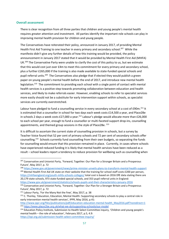## <span id="page-57-0"></span>**Overall assessment**

**.** 

There is clear recognition from all three parties that children and young people's mental health requires greater attention and investment. All parties identify the important role schools can play in improving mental health provision for children and young people.

The Conservatives have reiterated their policy, announced in January 2017, of providing Mental Health First Aid Training to one teacher in every primary and secondary school.<sup>207</sup> While the manifesto didn't give any further details of how this training would be provided, the policy announcement in January 2017 stated that it would be provided by Mental Health First Aid (MHFA) UK.<sup>208</sup> The Conservative Party were unable to clarify the cost of this policy to us, but we estimate that this would cost just over £4m to meet this commitment for every primary and secondary school, plus a further £265,000 if the training is also made available to state-funded special schools and pupil referral units.<sup>209</sup> The Conservatives also pledge that if elected they would publish a green paper on young people's mental health before the end of 2017, and introduce new mental health legislation.<sup>210</sup> The commitment to providing each school with a single point of contact with mental health services is a positive step towards promoting collaboration between education and health services, and likely to make referrals easier. However, enabling schools to refer to specialist services more easily should not be a substitute for early intervention support within schools, as specialist services are currently overstretched.

Labour have pledged to fund a counselling service in every secondary school at a cost of £90m.<sup>211</sup> It is estimated that a counsellor in school for two days each week costs £14,500 a year, and Place2Be in schools 2 days a week costs £27,000 a year.<sup>212</sup> Labour's pledge would allocate more than £26,000 to each school per year, enough to fund a counsellor or multi-faceted support drop-ins, counselling appointments, and themed group sessions in the style of Place2Be. <sup>213</sup>

It is difficult to ascertain the current state of counselling provision in schools, but a survey by Teacher Voice found that 52 per cent of primary schools and 72 per cent of secondary schools offer counselling.<sup>214</sup> Schools currently fund counselling from their own budgets, so separating the funds for counselling would ensure that this provision remained in place. Currently, in cases where schools have experienced reduced funding it is likely that mental health services have been reduced as a result – school leaders report a tendency to reduce provision for wellbeing such as counselling when

<sup>207</sup> Conservative and Unionist Party, 'Forward, Together: Our Plan for a Stronger Britain and a Prosperous Future', May 2017, p. 72

<sup>208</sup> <https://www.gov.uk/government/news/prime-minister-unveils-plans-to-transform-mental-health-support> <sup>209</sup> Mental Health First Aid UK state on their website that the training for school staff costs £200 per person, <https://mhfaengland.org/youth-mhfa-schools-colleges/> total cost is based on 2016 DfE data stating there are

<sup>20,179</sup> state schools, 973 state-funded special schools, and 353 pupil referral units in England: <https://www.gov.uk/government/statistics/schools-pupils-and-their-characteristics-january-2016>

<sup>&</sup>lt;sup>210</sup> Conservative and Unionist Party, 'Forward, Together: Our Plan for a Stronger Britain and a Prosperous Future', May 2017, p. 72

<sup>&</sup>lt;sup>211</sup> Labour Party, 'For the Many Not the Few', May 2017, p. 38

<sup>&</sup>lt;sup>212</sup> C. Thorley, 'Education, Education, Mental Health: Supporting secondary schools to play a central role in early intervention mental health services', IPPR, May 2016, p.41:

[http://www.ippr.org/files/publications/pdf/education-education-mental-health\\_May2016.pdf?noredirect=1](http://www.ippr.org/files/publications/pdf/education-education-mental-health_May2016.pdf?noredirect=1) <sup>213</sup> <https://www.place2be.org.uk/what-we-do/supporting-schools/our-model>

<sup>&</sup>lt;sup>214</sup> Education Policy Institute, Submission to Health Select Committee inquiry, 'Children and young people's mental health – the role of education', February 2017, p.5, 4.9: <https://epi.org.uk/submission-health-select-committee-inquiry/>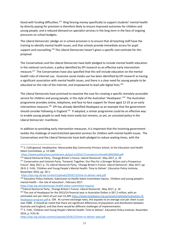faced with funding difficulties.<sup>215</sup> Ring fencing money specifically to support students' mental health by directly paying for provision is therefore likely to ensure improved outcomes for children and young people, and a reduced demand on specialist services in the long term in the face of ongoing pressures on school budgets.

The Liberal Democrats' pledge on in-school provision is to ensure that all teaching staff have the training to identify mental health issues, and that schools provide immediate access for pupil support and counselling.<sup>216</sup> The Liberal Democrats haven't given a specific cost estimate for this proposal.

The Conservatives and the Liberal Democrats have both pledged to include mental health education in the national curriculum, a policy identified by EPI research as an effective early intervention measure.<sup>217</sup> The Conservatives have also specified that this will include education on the mental health risks of internet use. Excessive social media use has been identified by EPI research as having a significant association with mental health issues, and there is a clear need for young people to be educated on the risks of the internet, and empowered to lead safe digital lives.<sup>218</sup>

The Liberal Democrats have promised to examine the case for creating a specific remotely accessible service for children and young people, in the style of the Australian 'Headspace'.<sup>219</sup> The Australian programme provides online, telephone, and face-to-face support for those aged 12-25 as an early intervention measure.<sup>220</sup> EPI has already identified Headspace as an example that the government should consider following in England.<sup>221</sup> If adopted, a similar programme could be an effective way to enable young people to seek help more easily but remains, as yet, an uncosted policy in the Liberal Democrats' manifesto.

In addition to providing early intervention measures, it is important that the incoming government tackles the challenge of overstretched specialist services for children with mental health issues. The Conservatives and the Liberal Democrats have both pledged to reduce waiting times, with the

<https://epi.org.uk/wp-content/uploads/2016/12/time-to-deliver-web.pdf>

<https://epi.org.uk/submission-health-select-committee-inquiry/>

 $\overline{a}$ 

<sup>219</sup>Liberal Democrat Party, 'Change Britain's Future: Liberal Democrat', May 2017, p. 18

<sup>&</sup>lt;sup>215</sup> S. Collingwood, Headteacher, Morecambe Bay Community Primary School, to the Education and Health Select Committees, p. 12 Q48:

<https://www.publications.parliament.uk/pa/cm201617/cmselect/cmhealth/849/849.pdf>

<sup>216</sup> Liberal Democrat Party, 'Change Britain's Future: Liberal Democrat', May 2017, p. 29

<sup>&</sup>lt;sup>217</sup> Conservative and Unionist Party, 'Forward, Together: Our Plan for a Stronger Britain and a Prosperous Future', May 2017, p. 73; Liberal Democrat Party, 'Change Britain's Future: Liberal Democrat', May 2017, pp. 28-9; E. Frith, 'Children and Young People's Mental Health: Time to Deliver', Education Policy Institute, November 2016, pp. 30-1:

<sup>&</sup>lt;sup>218</sup> Education Policy Institute, Submission to Health Select Committee inquiry, 'Children and young people's mental health – the role of education', February 2017:

<sup>&</sup>lt;sup>220</sup> The cost of Headspace for the 2013/14 financial year in Australian Dollars is \$67.2 million, with an estimated cost per client of just over \$1,695 [https://www.headspace.org.au/assets/Uploads/Evaluation-of](https://www.headspace.org.au/assets/Uploads/Evaluation-of-headspace-program.pdf)[headspace-program.pdf](https://www.headspace.org.au/assets/Uploads/Evaluation-of-headspace-program.pdf) p. 109. At current exchange rates, this equates to an average cost per client is just over £980. It should be noted that there are significant differences of population and distribution between Australia and England, and that there would be different challenges of implementation.

<sup>&</sup>lt;sup>221</sup> E. Frith, 'Children and Young People's Mental Health: Time to Deliver', Education Policy Institute, November 2016, p. 9 (fn.9):

<https://epi.org.uk/wp-content/uploads/2016/12/time-to-deliver-web.pdf>